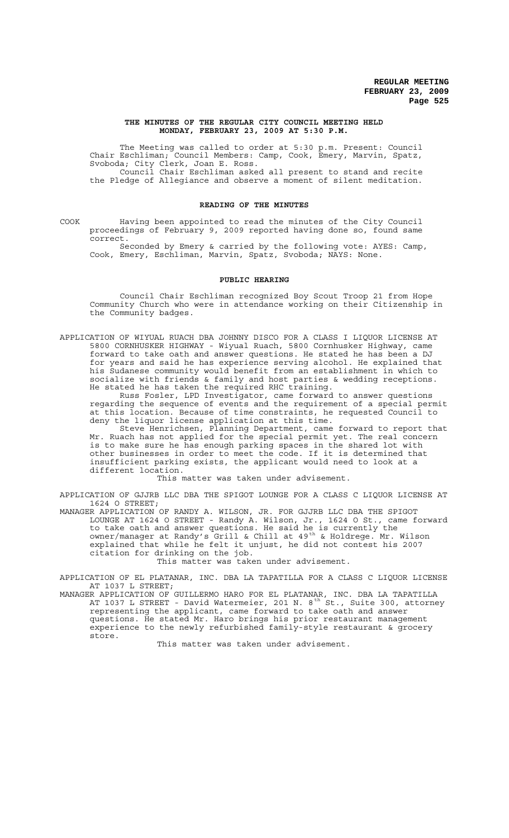#### **THE MINUTES OF THE REGULAR CITY COUNCIL MEETING HELD MONDAY, FEBRUARY 23, 2009 AT 5:30 P.M.**

The Meeting was called to order at 5:30 p.m. Present: Council Chair Eschliman; Council Members: Camp, Cook, Emery, Marvin, Spatz, Svoboda; City Clerk, Joan E. Ross. Council Chair Eschliman asked all present to stand and recite

the Pledge of Allegiance and observe a moment of silent meditation.

## **READING OF THE MINUTES**

COOK Having been appointed to read the minutes of the City Council proceedings of February 9, 2009 reported having done so, found same correct.

Seconded by Emery & carried by the following vote: AYES: Camp, Cook, Emery, Eschliman, Marvin, Spatz, Svoboda; NAYS: None.

#### **PUBLIC HEARING**

Council Chair Eschliman recognized Boy Scout Troop 21 from Hope Community Church who were in attendance working on their Citizenship in the Community badges.

APPLICATION OF WIYUAL RUACH DBA JOHNNY DISCO FOR A CLASS I LIQUOR LICENSE AT 5800 CORNHUSKER HIGHWAY - Wiyual Ruach, 5800 Cornhusker Highway, came forward to take oath and answer questions. He stated he has been a DJ for years and said he has experience serving alcohol. He explained that his Sudanese community would benefit from an establishment in which to socialize with friends & family and host parties & wedding receptions. He stated he has taken the required RHC training.

Russ Fosler, LPD Investigator, came forward to answer questions regarding the sequence of events and the requirement of a special permit at this location. Because of time constraints, he requested Council to deny the liquor license application at this time.

Steve Henrichsen, Planning Department, came forward to report that Mr. Ruach has not applied for the special permit yet. The real concern is to make sure he has enough parking spaces in the shared lot with other businesses in order to meet the code. If it is determined that insufficient parking exists, the applicant would need to look at a different location.

This matter was taken under advisement.

APPLICATION OF GJJRB LLC DBA THE SPIGOT LOUNGE FOR A CLASS C LIQUOR LICENSE AT 1624 O STREET;

MANAGER APPLICATION OF RANDY A. WILSON, JR. FOR GJJRB LLC DBA THE SPIGOT LOUNGE AT 1624 O STREET - Randy A. Wilson, Jr., 1624 O St., came forward to take oath and answer questions. He said he is currently the owner/manager at Randy's Grill & Chill at 49<sup>th</sup> & Holdrege. Mr. Wilson explained that while he felt it unjust, he did not contest his 2007 citation for drinking on the job.

This matter was taken under advisement.

APPLICATION OF EL PLATANAR, INC. DBA LA TAPATILLA FOR A CLASS C LIQUOR LICENSE AT 1037 L STREET;

MANAGER APPLICATION OF GUILLERMO HARO FOR EL PLATANAR, INC. DBA LA TAPATILLA AT 1037 L STREET - David Watermeier, 201 N. 8 $^{\text{th}}$  St., Suite 300, attorney representing the applicant, came forward to take oath and answer questions. He stated Mr. Haro brings his prior restaurant management experience to the newly refurbished family-style restaurant & grocery store.

This matter was taken under advisement.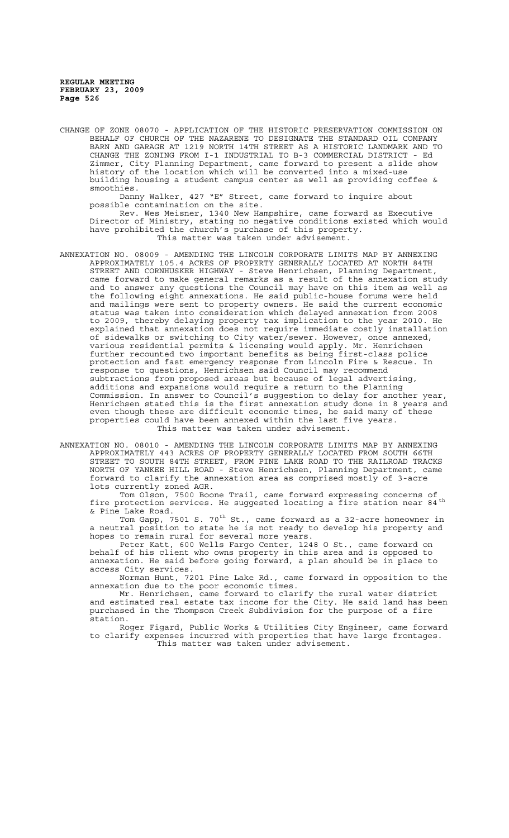CHANGE OF ZONE 08070 - APPLICATION OF THE HISTORIC PRESERVATION COMMISSION ON BEHALF OF CHURCH OF THE NAZARENE TO DESIGNATE THE STANDARD OIL COMPANY BARN AND GARAGE AT 1219 NORTH 14TH STREET AS A HISTORIC LANDMARK AND TO CHANGE THE ZONING FROM I-1 INDUSTRIAL TO B-3 COMMERCIAL DISTRICT - Ed Zimmer, City Planning Department, came forward to present a slide show history of the location which will be converted into a mixed-use building housing a student campus center as well as providing coffee & smoothies.

Danny Walker, 427 "E" Street, came forward to inquire about possible contamination on the site.

Rev. Wes Meisner, 1340 New Hampshire, came forward as Executive Director of Ministry, stating no negative conditions existed which would have prohibited the church's purchase of this property. This matter was taken under advisement.

ANNEXATION NO. 08009 - AMENDING THE LINCOLN CORPORATE LIMITS MAP BY ANNEXING APPROXIMATELY 105.4 ACRES OF PROPERTY GENERALLY LOCATED AT NORTH 84TH STREET AND CORNHUSKER HIGHWAY - Steve Henrichsen, Planning Department, came forward to make general remarks as a result of the annexation study and to answer any questions the Council may have on this item as well as the following eight annexations. He said public-house forums were held and mailings were sent to property owners. He said the current economic status was taken into consideration which delayed annexation from 2008 to 2009, thereby delaying property tax implication to the year 2010. He explained that annexation does not require immediate costly installation of sidewalks or switching to City water/sewer. However, once annexed, various residential permits & licensing would apply. Mr. Henrichsen further recounted two important benefits as being first-class police protection and fast emergency response from Lincoln Fire & Rescue. In response to questions, Henrichsen said Council may recommend subtractions from proposed areas but because of legal advertising, additions and expansions would require a return to the Planning Commission. In answer to Council's suggestion to delay for another year, Henrichsen stated this is the first annexation study done in 8 years and even though these are difficult economic times, he said many of these properties could have been annexed within the last five years. This matter was taken under advisement.

ANNEXATION NO. 08010 - AMENDING THE LINCOLN CORPORATE LIMITS MAP BY ANNEXING APPROXIMATELY 443 ACRES OF PROPERTY GENERALLY LOCATED FROM SOUTH 66TH STREET TO SOUTH 84TH STREET, FROM PINE LAKE ROAD TO THE RAILROAD TRACKS NORTH OF YANKEE HILL ROAD - Steve Henrichsen, Planning Department, came forward to clarify the annexation area as comprised mostly of 3-acre lots currently zoned AGR.

Tom Olson, 7500 Boone Trail, came forward expressing concerns of fire protection services. He suggested locating a fire station near 84<sup>th</sup> & Pine Lake Road.

Tanc Road:<br>Tom Gapp, 7501 S. 70<sup>th</sup> St., came forward as a 32-acre homeowner in a neutral position to state he is not ready to develop his property and hopes to remain rural for several more years.

Peter Katt, 600 Wells Fargo Center, 1248 O St., came forward on behalf of his client who owns property in this area and is opposed to annexation. He said before going forward, a plan should be in place to access City services.

Norman Hunt, 7201 Pine Lake Rd., came forward in opposition to the annexation due to the poor economic times.

Mr. Henrichsen, came forward to clarify the rural water district and estimated real estate tax income for the City. He said land has been purchased in the Thompson Creek Subdivision for the purpose of a fire station.

Roger Figard, Public Works & Utilities City Engineer, came forward to clarify expenses incurred with properties that have large frontages. This matter was taken under advisement.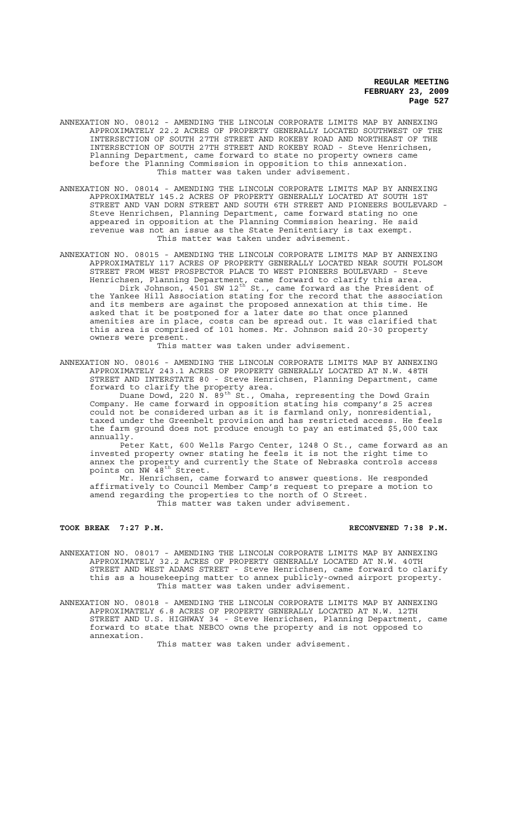- ANNEXATION NO. 08012 AMENDING THE LINCOLN CORPORATE LIMITS MAP BY ANNEXING APPROXIMATELY 22.2 ACRES OF PROPERTY GENERALLY LOCATED SOUTHWEST OF THE INTERSECTION OF SOUTH 27TH STREET AND ROKEBY ROAD AND NORTHEAST OF THE INTERSECTION OF SOUTH 27TH STREET AND ROKEBY ROAD - Steve Henrichsen, Planning Department, came forward to state no property owners came before the Planning Commission in opposition to this annexation. This matter was taken under advisement.
- ANNEXATION NO. 08014 AMENDING THE LINCOLN CORPORATE LIMITS MAP BY ANNEXING APPROXIMATELY 145.2 ACRES OF PROPERTY GENERALLY LOCATED AT SOUTH 1ST STREET AND VAN DORN STREET AND SOUTH 6TH STREET AND PIONEERS BOULEVARD - Steve Henrichsen, Planning Department, came forward stating no one appeared in opposition at the Planning Commission hearing. He said revenue was not an issue as the State Penitentiary is tax exempt. This matter was taken under advisement.
- ANNEXATION NO. 08015 AMENDING THE LINCOLN CORPORATE LIMITS MAP BY ANNEXING APPROXIMATELY 117 ACRES OF PROPERTY GENERALLY LOCATED NEAR SOUTH FOLSOM STREET FROM WEST PROSPECTOR PLACE TO WEST PIONEERS BOULEVARD - Steve Henrichsen, Planning Department, came forward to clarify this area. Dirk Johnson,  $450$ 1 SW 12<sup>th</sup> St., came forward as the President of the Yankee Hill Association stating for the record that the association and its members are against the proposed annexation at this time. He asked that it be postponed for a later date so that once planned amenities are in place, costs can be spread out. It was clarified that this area is comprised of 101 homes. Mr. Johnson said 20-30 property owners were present.

This matter was taken under advisement.

ANNEXATION NO. 08016 - AMENDING THE LINCOLN CORPORATE LIMITS MAP BY ANNEXING APPROXIMATELY 243.1 ACRES OF PROPERTY GENERALLY LOCATED AT N.W. 48TH STREET AND INTERSTATE 80 - Steve Henrichsen, Planning Department, came forward to clarify the property area.

Duane Dowd, 220 N. 89<sup>th</sup> St., Omaha, representing the Dowd Grain Company. He came forward in opposition stating his company's 25 acres could not be considered urban as it is farmland only, nonresidential, taxed under the Greenbelt provision and has restricted access. He feels the farm ground does not produce enough to pay an estimated \$5,000 tax annually.

Peter Katt, 600 Wells Fargo Center, 1248 O St., came forward as an invested property owner stating he feels it is not the right time to annex the property and currently the State of Nebraska controls access points on  $\overline{N}W$   $48^{\text{th}}$  Street.

Mr. Henrichsen, came forward to answer questions. He responded affirmatively to Council Member Camp's request to prepare a motion to amend regarding the properties to the north of O Street. This matter was taken under advisement.

#### **TOOK BREAK 7:27 P.M. RECONVENED 7:38 P.M.**

ANNEXATION NO. 08017 - AMENDING THE LINCOLN CORPORATE LIMITS MAP BY ANNEXING APPROXIMATELY 32.2 ACRES OF PROPERTY GENERALLY LOCATED AT N.W. 40TH STREET AND WEST ADAMS STREET - Steve Henrichsen, came forward to clarify this as a housekeeping matter to annex publicly-owned airport property. This matter was taken under advisement.

ANNEXATION NO. 08018 - AMENDING THE LINCOLN CORPORATE LIMITS MAP BY ANNEXING APPROXIMATELY 6.8 ACRES OF PROPERTY GENERALLY LOCATED AT N.W. 12TH STREET AND U.S. HIGHWAY 34 - Steve Henrichsen, Planning Department, came forward to state that NEBCO owns the property and is not opposed to annexation.

This matter was taken under advisement.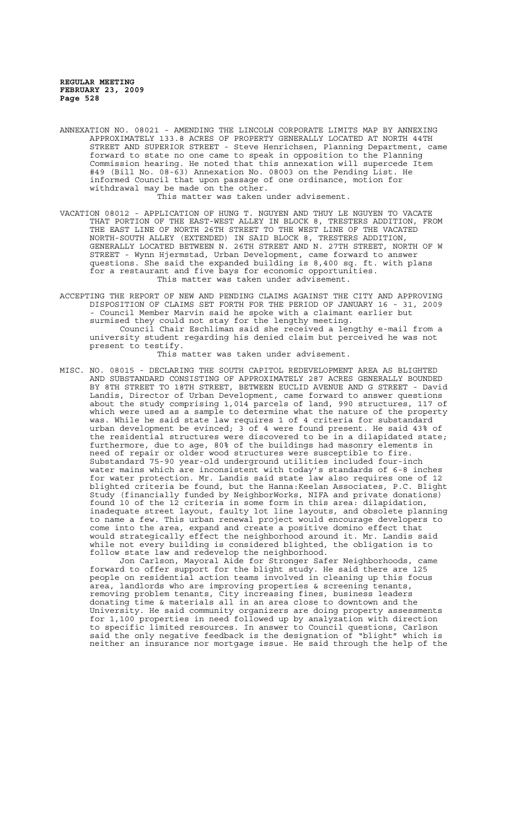- ANNEXATION NO. 08021 AMENDING THE LINCOLN CORPORATE LIMITS MAP BY ANNEXING APPROXIMATELY 133.8 ACRES OF PROPERTY GENERALLY LOCATED AT NORTH 44TH STREET AND SUPERIOR STREET - Steve Henrichsen, Planning Department, came forward to state no one came to speak in opposition to the Planning Commission hearing. He noted that this annexation will supercede Item #49 (Bill No. 08-63) Annexation No. 08003 on the Pending List. He informed Council that upon passage of one ordinance, motion for withdrawal may be made on the other. This matter was taken under advisement.
- VACATION 08012 APPLICATION OF HUNG T. NGUYEN AND THUY LE NGUYEN TO VACATE THAT PORTION OF THE EAST-WEST ALLEY IN BLOCK 8, TRESTERS ADDITION, FROM THE EAST LINE OF NORTH 26TH STREET TO THE WEST LINE OF THE VACATED NORTH-SOUTH ALLEY (EXTENDED) IN SAID BLOCK 8, TRESTERS ADDITION, GENERALLY LOCATED BETWEEN N. 26TH STREET AND N. 27TH STREET, NORTH OF W STREET - Wynn Hjermstad, Urban Development, came forward to answer questions. She said the expanded building is 8,400 sq. ft. with plans for a restaurant and five bays for economic opportunities. This matter was taken under advisement.
- ACCEPTING THE REPORT OF NEW AND PENDING CLAIMS AGAINST THE CITY AND APPROVING DISPOSITION OF CLAIMS SET FORTH FOR THE PERIOD OF JANUARY 16 - 31, 2009 - Council Member Marvin said he spoke with a claimant earlier but surmised they could not stay for the lengthy meeting. Council Chair Eschliman said she received a lengthy e-mail from a university student regarding his denied claim but perceived he was not present to testify.

This matter was taken under advisement.

MISC. NO. 08015 - DECLARING THE SOUTH CAPITOL REDEVELOPMENT AREA AS BLIGHTED AND SUBSTANDARD CONSISTING OF APPROXIMATELY 287 ACRES GENERALLY BOUNDED BY 8TH STREET TO 18TH STREET, BETWEEN EUCLID AVENUE AND G STREET - David Landis, Director of Urban Development, came forward to answer questions about the study comprising 1,014 parcels of land, 990 structures, 117 of which were used as a sample to determine what the nature of the property was. While he said state law requires 1 of 4 criteria for substandard urban development be evinced; 3 of 4 were found present. He said 43% of the residential structures were discovered to be in a dilapidated state; furthermore, due to age, 80% of the buildings had masonry elements in need of repair or older wood structures were susceptible to fire. Substandard 75-90 year-old underground utilities included four-inch water mains which are inconsistent with today's standards of 6-8 inches for water protection. Mr. Landis said state law also requires one of 12 blighted criteria be found, but the Hanna:Keelan Associates, P.C. Blight Study (financially funded by NeighborWorks, NIFA and private donations) found 10 of the 12 criteria in some form in this area: dilapidation, inadequate street layout, faulty lot line layouts, and obsolete planning to name a few. This urban renewal project would encourage developers to come into the area, expand and create a positive domino effect that would strategically effect the neighborhood around it. Mr. Landis said while not every building is considered blighted, the obligation is to follow state law and redevelop the neighborhood.

Jon Carlson, Mayoral Aide for Stronger Safer Neighborhoods, came forward to offer support for the blight study. He said there are people on residential action teams involved in cleaning up this focus area, landlords who are improving properties & screening tenants, removing problem tenants, City increasing fines, business leaders donating time & materials all in an area close to downtown and the University. He said community organizers are doing property assessments for 1,100 properties in need followed up by analyzation with direction to specific limited resources. In answer to Council questions, Carlson said the only negative feedback is the designation of "blight" which is neither an insurance nor mortgage issue. He said through the help of the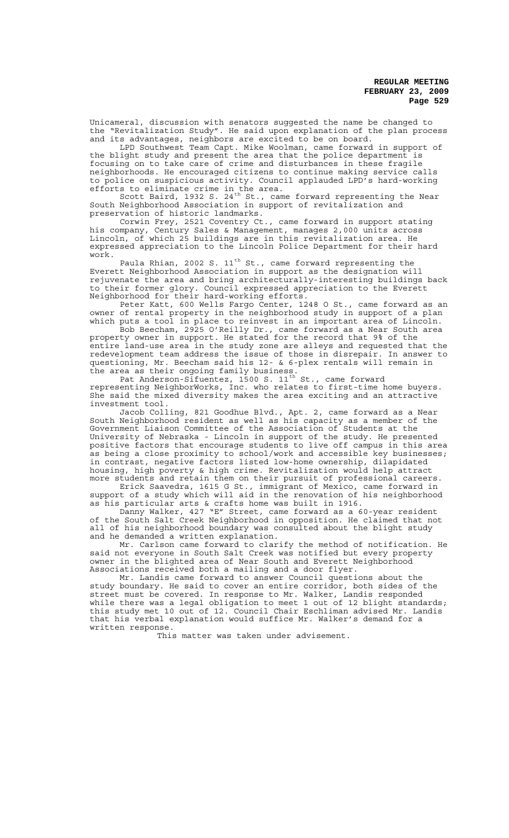Unicameral, discussion with senators suggested the name be changed to the "Revitalization Study". He said upon explanation of the plan process and its advantages, neighbors are excited to be on board.

LPD Southwest Team Capt. Mike Woolman, came forward in support of the blight study and present the area that the police department is focusing on to take care of crime and disturbances in these fragile neighborhoods. He encouraged citizens to continue making service calls to police on suspicious activity. Council applauded LPD's hard-working efforts to eliminate crime in the area.

Scott Baird, 1932 S. 24<sup>th</sup> St., came forward representing the Near South Neighborhood Association in support of revitalization and preservation of historic landmarks.

Corwin Frey, 2521 Coventry Ct., came forward in support stating his company, Century Sales & Management, manages 2,000 units across Lincoln, of which 25 buildings are in this revitalization area. He expressed appreciation to the Lincoln Police Department for their hard work.

Paula Rhian, 2002 S. 11<sup>th</sup> St., came forward representing the Everett Neighborhood Association in support as the designation will rejuvenate the area and bring architecturally-interesting buildings back to their former glory. Council expressed appreciation to the Everett Neighborhood for their hard-working efforts.

Peter Katt, 600 Wells Fargo Center, 1248 O St., came forward as an owner of rental property in the neighborhood study in support of a plan which puts a tool in place to reinvest in an important area of Lincoln.

Bob Beecham, 2925 O'Reilly Dr., came forward as a Near South area property owner in support. He stated for the record that 9% of the entire land-use area in the study zone are alleys and requested that the redevelopment team address the issue of those in disrepair. In answer to questioning, Mr. Beecham said his 12- & 6-plex rentals will remain in the area as their ongoing family business.

Pat Anderson-Sifuentez, 1500 S. 11<sup>th</sup> St., came forward representing NeighborWorks, Inc. who relates to first-time home buyers. She said the mixed diversity makes the area exciting and an attractive investment tool.

Jacob Colling, 821 Goodhue Blvd., Apt. 2, came forward as a Near South Neighborhood resident as well as his capacity as a member of the Government Liaison Committee of the Association of Students at the University of Nebraska - Lincoln in support of the study. He presented positive factors that encourage students to live off campus in this area as being a close proximity to school/work and accessible key businesses; in contrast, negative factors listed low-home ownership, dilapidated housing, high poverty & high crime. Revitalization would help attract more students and retain them on their pursuit of professional careers.

Erick Saavedra, 1615 G St., immigrant of Mexico, came forward in support of a study which will aid in the renovation of his neighborhood as his particular arts & crafts home was built in 1916.

Danny Walker, 427 "E" Street, came forward as a 60-year resident of the South Salt Creek Neighborhood in opposition. He claimed that not all of his neighborhood boundary was consulted about the blight study and he demanded a written explanation.

Mr. Carlson came forward to clarify the method of notification. He said not everyone in South Salt Creek was notified but every property owner in the blighted area of Near South and Everett Neighborhood Associations received both a mailing and a door flyer.

Mr. Landis came forward to answer Council questions about the study boundary. He said to cover an entire corridor, both sides of the street must be covered. In response to Mr. Walker, Landis responded while there was a legal obligation to meet 1 out of 12 blight standards; this study met 10 out of 12. Council Chair Eschliman advised Mr. Landis that his verbal explanation would suffice Mr. Walker's demand for a written response.

This matter was taken under advisement.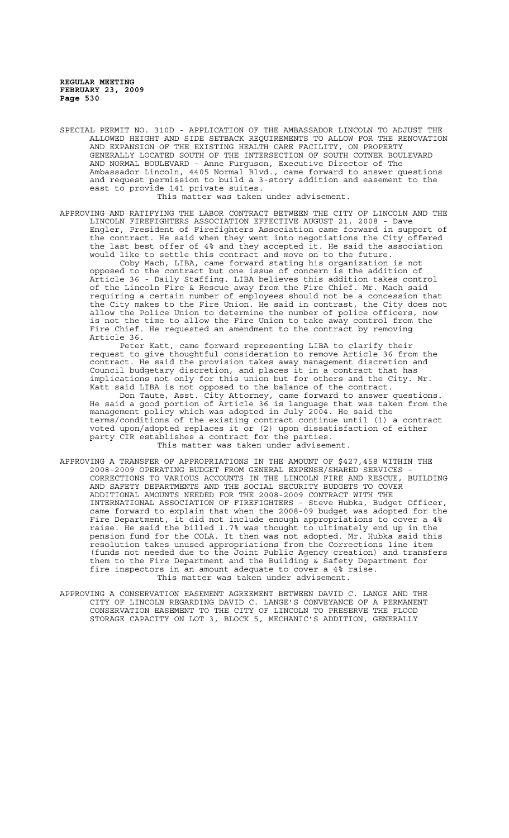SPECIAL PERMIT NO. 310D - APPLICATION OF THE AMBASSADOR LINCOLN TO ADJUST THE ALLOWED HEIGHT AND SIDE SETBACK REQUIREMENTS TO ALLOW FOR THE RENOVATION AND EXPANSION OF THE EXISTING HEALTH CARE FACILITY, ON PROPERTY GENERALLY LOCATED SOUTH OF THE INTERSECTION OF SOUTH COTNER BOULEVARD AND NORMAL BOULEVARD - Anne Furguson, Executive Director of The Ambassador Lincoln, 4405 Normal Blvd., came forward to answer questions and request permission to build a 3-story addition and easement to the east to provide 141 private suites. This matter was taken under advisement.

APPROVING AND RATIFYING THE LABOR CONTRACT BETWEEN THE CITY OF LINCOLN AND THE LINCOLN FIREFIGHTERS ASSOCIATION EFFECTIVE AUGUST 21, 2008 - Dave Engler, President of Firefighters Association came forward in support of the contract. He said when they went into negotiations the City offered the last best offer of 4% and they accepted it. He said the association would like to settle this contract and move on to the future.

Coby Mach, LIBA, came forward stating his organization is not opposed to the contract but one issue of concern is the addition of Article 36 - Daily Staffing. LIBA believes this addition takes control of the Lincoln Fire & Rescue away from the Fire Chief. Mr. Mach said requiring a certain number of employees should not be a concession that the City makes to the Fire Union. He said in contrast, the City does not allow the Police Union to determine the number of police officers, now is not the time to allow the Fire Union to take away control from the Fire Chief. He requested an amendment to the contract by removing Article 36.

Peter Katt, came forward representing LIBA to clarify their request to give thoughtful consideration to remove Article 36 from the contract. He said the provision takes away management discretion and Council budgetary discretion, and places it in a contract that has implications not only for this union but for others and the City. Mr. Katt said LIBA is not opposed to the balance of the contract.

Don Taute, Asst. City Attorney, came forward to answer questions. He said a good portion of Article 36 is language that was taken from the management policy which was adopted in July 2004. He said the terms/conditions of the existing contract continue until (1) a contract voted upon/adopted replaces it or (2) upon dissatisfaction of either party CIR establishes a contract for the parties.

This matter was taken under advisement.

- APPROVING A TRANSFER OF APPROPRIATIONS IN THE AMOUNT OF \$427,458 WITHIN THE 2008-2009 OPERATING BUDGET FROM GENERAL EXPENSE/SHARED SERVICES - CORRECTIONS TO VARIOUS ACCOUNTS IN THE LINCOLN FIRE AND RESCUE, BUILDING AND SAFETY DEPARTMENTS AND THE SOCIAL SECURITY BUDGETS TO COVER ADDITIONAL AMOUNTS NEEDED FOR THE 2008-2009 CONTRACT WITH THE INTERNATIONAL ASSOCIATION OF FIREFIGHTERS - Steve Hubka, Budget Officer, came forward to explain that when the 2008-09 budget was adopted for the Fire Department, it did not include enough appropriations to cover a 4% raise. He said the billed 1.7% was thought to ultimately end up in the pension fund for the COLA. It then was not adopted. Mr. Hubka said this pension fund for the COLA. It then was not adopted. Mr. resolution takes unused appropriations from the Corrections line item (funds not needed due to the Joint Public Agency creation) and transfers them to the Fire Department and the Building & Safety Department for fire inspectors in an amount adequate to cover a 4% raise. This matter was taken under advisement.
- APPROVING A CONSERVATION EASEMENT AGREEMENT BETWEEN DAVID C. LANGE AND THE CITY OF LINCOLN REGARDING DAVID C. LANGE'S CONVEYANCE OF A PERMANENT CONSERVATION EASEMENT TO THE CITY OF LINCOLN TO PRESERVE THE FLOOD STORAGE CAPACITY ON LOT 3, BLOCK 5, MECHANIC'S ADDITION, GENERALLY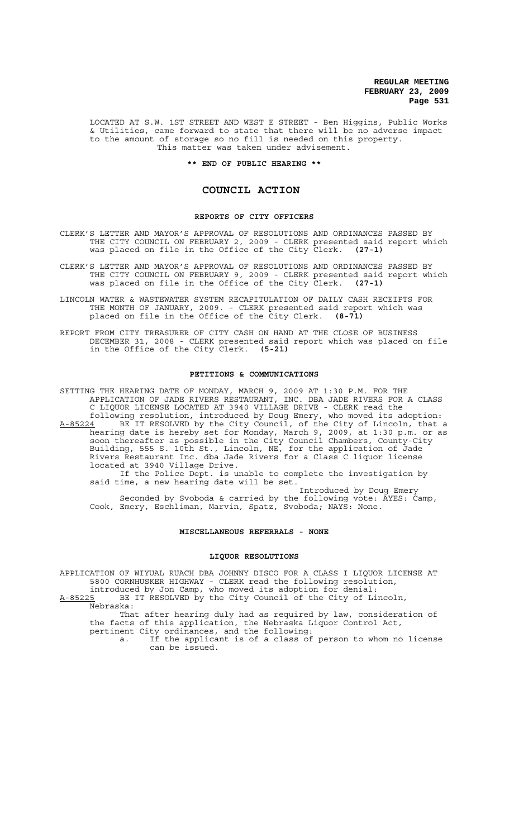LOCATED AT S.W. 1ST STREET AND WEST E STREET - Ben Higgins, Public Works & Utilities, came forward to state that there will be no adverse impact to the amount of storage so no fill is needed on this property. This matter was taken under advisement.

**\*\* END OF PUBLIC HEARING \*\***

## **COUNCIL ACTION**

#### **REPORTS OF CITY OFFICERS**

CLERK'S LETTER AND MAYOR'S APPROVAL OF RESOLUTIONS AND ORDINANCES PASSED BY THE CITY COUNCIL ON FEBRUARY 2, 2009 - CLERK presented said report which was placed on file in the Office of the City Clerk. **(27-1)**

CLERK'S LETTER AND MAYOR'S APPROVAL OF RESOLUTIONS AND ORDINANCES PASSED BY THE CITY COUNCIL ON FEBRUARY 9, 2009 - CLERK presented said report which was placed on file in the Office of the City Clerk. **(27-1)**

LINCOLN WATER & WASTEWATER SYSTEM RECAPITULATION OF DAILY CASH RECEIPTS FOR THE MONTH OF JANUARY, 2009. - CLERK presented said report which was placed on file in the Office of the City Clerk. **(8-71)**

REPORT FROM CITY TREASURER OF CITY CASH ON HAND AT THE CLOSE OF BUSINESS DECEMBER 31, 2008 - CLERK presented said report which was placed on file in the Office of the City Clerk. **(5-21)**

#### **PETITIONS & COMMUNICATIONS**

SETTING THE HEARING DATE OF MONDAY, MARCH 9, 2009 AT 1:30 P.M. FOR THE APPLICATION OF JADE RIVERS RESTAURANT, INC. DBA JADE RIVERS FOR A CLASS C LIQUOR LICENSE LOCATED AT 3940 VILLAGE DRIVE - CLERK read the following resolution, introduced by Doug Emery, who moved its adoption: A-85224 BE IT RESOLVED by the City Council, of the City of Lincoln, that a hearing date is hereby set for Monday, March 9, 2009, at 1:30 p.m. or as soon thereafter as possible in the City Council Chambers, County-City Building, 555 S. 10th St., Lincoln, NE, for the application of Jade Rivers Restaurant Inc. dba Jade Rivers for a Class C liquor license located at 3940 Village Drive. If the Police Dept. is unable to complete the investigation by said time, a new hearing date will be set.

Introduced by Doug Emery Seconded by Svoboda & carried by the following vote: AYES: Camp, Cook, Emery, Eschliman, Marvin, Spatz, Svoboda; NAYS: None.

### **MISCELLANEOUS REFERRALS - NONE**

#### **LIQUOR RESOLUTIONS**

APPLICATION OF WIYUAL RUACH DBA JOHNNY DISCO FOR A CLASS I LIQUOR LICENSE AT 5800 CORNHUSKER HIGHWAY - CLERK read the following resolution, introduced by Jon Camp, who moved its adoption for denial:

A-85225 BE IT RESOLVED by the City Council of the City of Lincoln, Nebraska:

That after hearing duly had as required by law, consideration of the facts of this application, the Nebraska Liquor Control Act, pertinent City ordinances, and the following:

a. If the applicant is of a class of person to whom no license can be issued.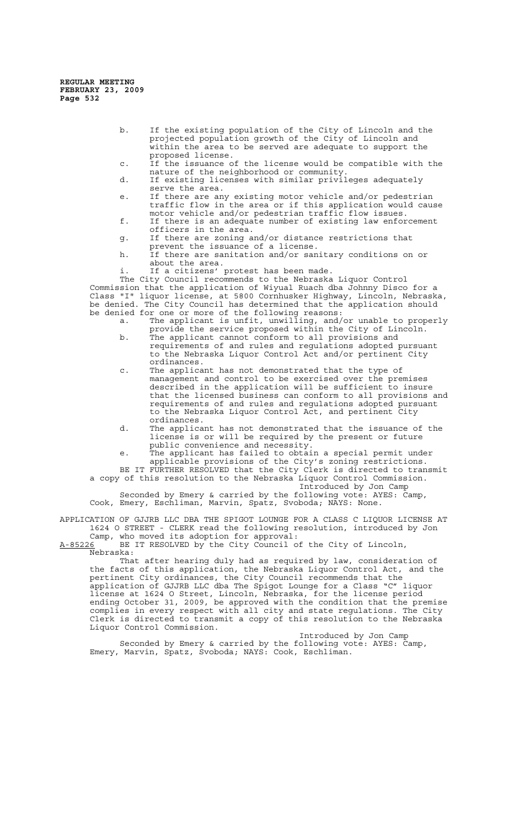- b. If the existing population of the City of Lincoln and the projected population growth of the City of Lincoln and within the area to be served are adequate to support the proposed license.
- c. If the issuance of the license would be compatible with the nature of the neighborhood or community.
- d. If existing licenses with similar privileges adequately serve the area.
- e. If there are any existing motor vehicle and/or pedestrian traffic flow in the area or if this application would cause motor vehicle and/or pedestrian traffic flow issues.
- f. If there is an adequate number of existing law enforcement officers in the area.
- g. If there are zoning and/or distance restrictions that
- prevent the issuance of a license. h. If there are sanitation and/or sanitary conditions on or about the area.
	- If a citizens' protest has been made.

The City Council recommends to the Nebraska Liquor Control Commission that the application of Wiyual Ruach dba Johnny Disco for a Class "I" liquor license, at 5800 Cornhusker Highway, Lincoln, Nebraska, be denied. The City Council has determined that the application should be denied for one or more of the following reasons:

- a. The applicant is unfit, unwilling, and/or unable to properly provide the service proposed within the City of Lincoln.
- b. The applicant cannot conform to all provisions and requirements of and rules and regulations adopted pursuant to the Nebraska Liquor Control Act and/or pertinent City ordinances.
- c. The applicant has not demonstrated that the type of management and control to be exercised over the premises described in the application will be sufficient to insure that the licensed business can conform to all provisions and requirements of and rules and regulations adopted pursuant to the Nebraska Liquor Control Act, and pertinent City ordinances.
- d. The applicant has not demonstrated that the issuance of the license is or will be required by the present or future public convenience and necessity.
- e. The applicant has failed to obtain a special permit under applicable provisions of the City's zoning restrictions. BE IT FURTHER RESOLVED that the City Clerk is directed to transmit

a copy of this resolution to the Nebraska Liquor Control Commission. Introduced by Jon Camp

Seconded by Emery & carried by the following vote: AYES: Camp, Cook, Emery, Eschliman, Marvin, Spatz, Svoboda; NAYS: None.

APPLICATION OF GJJRB LLC DBA THE SPIGOT LOUNGE FOR A CLASS C LIQUOR LICENSE AT 1624 O STREET - CLERK read the following resolution, introduced by Jon Camp, who moved its adoption for approval:

A-85226 BE IT RESOLVED by the City Council of the City of Lincoln, Nebraska:

That after hearing duly had as required by law, consideration of the facts of this application, the Nebraska Liquor Control Act, and the pertinent City ordinances, the City Council recommends that the application of GJJRB LLC dba The Spigot Lounge for a Class "C" liquor license at 1624 O Street, Lincoln, Nebraska, for the license period ending October 31, 2009, be approved with the condition that the premise complies in every respect with all city and state regulations. The City Clerk is directed to transmit a copy of this resolution to the Nebraska Liquor Control Commission.

Introduced by Jon Camp

Seconded by Emery & carried by the following vote: AYES: Camp, Emery, Marvin, Spatz, Svoboda; NAYS: Cook, Eschliman.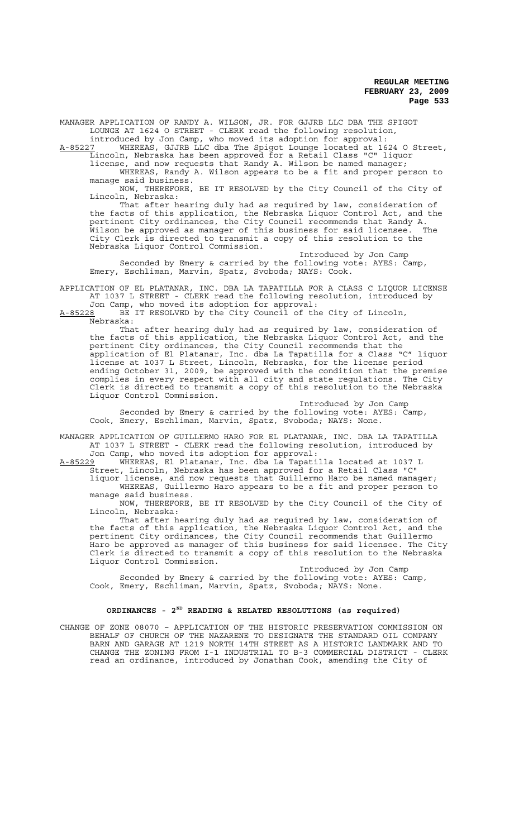MANAGER APPLICATION OF RANDY A. WILSON, JR. FOR GJJRB LLC DBA THE SPIGOT LOUNGE AT 1624 O STREET - CLERK read the following resolution, introduced by Jon Camp, who moved its adoption for approval:

A-85227 WHEREAS, GJJRB LLC dba The Spigot Lounge located at 1624 O Street, Lincoln, Nebraska has been approved for a Retail Class "C" liquor

license, and now requests that Randy A. Wilson be named manager; WHEREAS, Randy A. Wilson appears to be a fit and proper person to manage said business.

NOW, THEREFORE, BE IT RESOLVED by the City Council of the City of Lincoln, Nebraska:

That after hearing duly had as required by law, consideration of the facts of this application, the Nebraska Liquor Control Act, and the pertinent City ordinances, the City Council recommends that Randy A. Wilson be approved as manager of this business for said licensee. The City Clerk is directed to transmit a copy of this resolution to the Nebraska Liquor Control Commission.

Introduced by Jon Camp Seconded by Emery & carried by the following vote: AYES: Camp, Emery, Eschliman, Marvin, Spatz, Svoboda; NAYS: Cook.

APPLICATION OF EL PLATANAR, INC. DBA LA TAPATILLA FOR A CLASS C LIQUOR LICENSE AT 1037 L STREET - CLERK read the following resolution, introduced by Jon Camp, who moved its adoption for approval:

A-85228 BE IT RESOLVED by the City Council of the City of Lincoln, Nebraska:

That after hearing duly had as required by law, consideration of the facts of this application, the Nebraska Liquor Control Act, and the pertinent City ordinances, the City Council recommends that the application of El Platanar, Inc. dba La Tapatilla for a Class "C" liquor license at 1037 L Street, Lincoln, Nebraska, for the license period ending October 31, 2009, be approved with the condition that the premise complies in every respect with all city and state regulations. The City Clerk is directed to transmit a copy of this resolution to the Nebraska Liquor Control Commission.

Introduced by Jon Camp Seconded by Emery & carried by the following vote: AYES: Camp, Cook, Emery, Eschliman, Marvin, Spatz, Svoboda; NAYS: None.

MANAGER APPLICATION OF GUILLERMO HARO FOR EL PLATANAR, INC. DBA LA TAPATILLA AT 1037 L STREET - CLERK read the following resolution, introduced by Jon Camp, who moved its adoption for approval:

A-85229 WHEREAS, El Platanar, Inc. dba La Tapatilla located at 1037 L Street, Lincoln, Nebraska has been approved for a Retail Class "C"

liquor license, and now requests that Guillermo Haro be named manager; WHEREAS, Guillermo Haro appears to be a fit and proper person to manage said business.

NOW, THEREFORE, BE IT RESOLVED by the City Council of the City of Lincoln, Nebraska:

That after hearing duly had as required by law, consideration of the facts of this application, the Nebraska Liquor Control Act, and the pertinent City ordinances, the City Council recommends that Guillermo Haro be approved as manager of this business for said licensee. The City Clerk is directed to transmit a copy of this resolution to the Nebraska Liquor Control Commission.

Introduced by Jon Camp Seconded by Emery & carried by the following vote: AYES: Camp, Cook, Emery, Eschliman, Marvin, Spatz, Svoboda; NAYS: None.

# **ORDINANCES - 2ND READING & RELATED RESOLUTIONS (as required)**

CHANGE OF ZONE 08070 – APPLICATION OF THE HISTORIC PRESERVATION COMMISSION ON BEHALF OF CHURCH OF THE NAZARENE TO DESIGNATE THE STANDARD OIL COMPANY BARN AND GARAGE AT 1219 NORTH 14TH STREET AS A HISTORIC LANDMARK AND TO CHANGE THE ZONING FROM I-1 INDUSTRIAL TO B-3 COMMERCIAL DISTRICT - CLERK read an ordinance, introduced by Jonathan Cook, amending the City of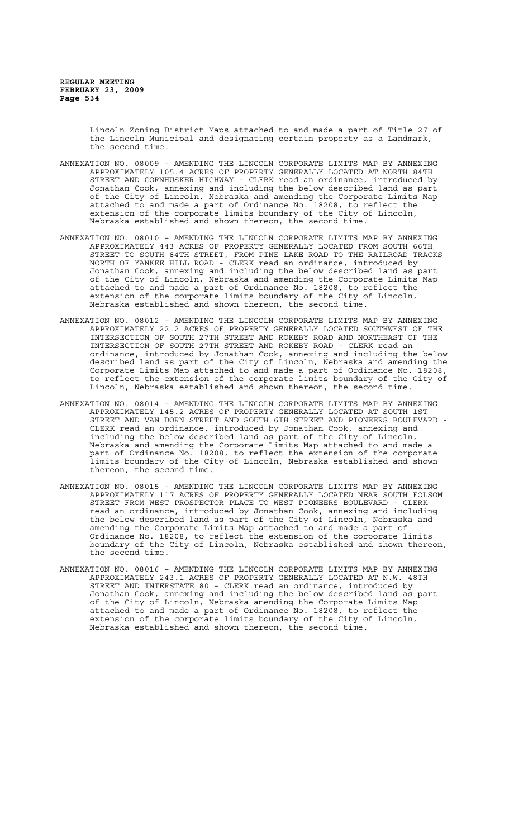Lincoln Zoning District Maps attached to and made a part of Title 27 of the Lincoln Municipal and designating certain property as a Landmark, the second time.

- ANNEXATION NO. 08009 AMENDING THE LINCOLN CORPORATE LIMITS MAP BY ANNEXING APPROXIMATELY 105.4 ACRES OF PROPERTY GENERALLY LOCATED AT NORTH 84TH STREET AND CORNHUSKER HIGHWAY - CLERK read an ordinance, introduced by Jonathan Cook, annexing and including the below described land as part of the City of Lincoln, Nebraska and amending the Corporate Limits Map attached to and made a part of Ordinance No. 18208, to reflect the extension of the corporate limits boundary of the City of Lincoln, Nebraska established and shown thereon, the second time.
- ANNEXATION NO. 08010 AMENDING THE LINCOLN CORPORATE LIMITS MAP BY ANNEXING APPROXIMATELY 443 ACRES OF PROPERTY GENERALLY LOCATED FROM SOUTH 66TH STREET TO SOUTH 84TH STREET, FROM PINE LAKE ROAD TO THE RAILROAD TRACKS NORTH OF YANKEE HILL ROAD - CLERK read an ordinance, introduced by Jonathan Cook, annexing and including the below described land as part of the City of Lincoln, Nebraska and amending the Corporate Limits Map attached to and made a part of Ordinance No. 18208, to reflect the extension of the corporate limits boundary of the City of Lincoln, Nebraska established and shown thereon, the second time.
- ANNEXATION NO. 08012 AMENDING THE LINCOLN CORPORATE LIMITS MAP BY ANNEXING APPROXIMATELY 22.2 ACRES OF PROPERTY GENERALLY LOCATED SOUTHWEST OF THE INTERSECTION OF SOUTH 27TH STREET AND ROKEBY ROAD AND NORTHEAST OF THE INTERSECTION OF SOUTH 27TH STREET AND ROKEBY ROAD - CLERK read an ordinance, introduced by Jonathan Cook, annexing and including the below described land as part of the City of Lincoln, Nebraska and amending the Corporate Limits Map attached to and made a part of Ordinance No. 18208, to reflect the extension of the corporate limits boundary of the City of Lincoln, Nebraska established and shown thereon, the second time.
- ANNEXATION NO. 08014 AMENDING THE LINCOLN CORPORATE LIMITS MAP BY ANNEXING APPROXIMATELY 145.2 ACRES OF PROPERTY GENERALLY LOCATED AT SOUTH 1ST STREET AND VAN DORN STREET AND SOUTH 6TH STREET AND PIONEERS BOULEVARD - CLERK read an ordinance, introduced by Jonathan Cook, annexing and including the below described land as part of the City of Lincoln, Nebraska and amending the Corporate Limits Map attached to and made a part of Ordinance No. 18208, to reflect the extension of the corporate limits boundary of the City of Lincoln, Nebraska established and shown thereon, the second time.
- ANNEXATION NO. 08015 AMENDING THE LINCOLN CORPORATE LIMITS MAP BY ANNEXING APPROXIMATELY 117 ACRES OF PROPERTY GENERALLY LOCATED NEAR SOUTH FOLSOM STREET FROM WEST PROSPECTOR PLACE TO WEST PIONEERS BOULEVARD - CLERK read an ordinance, introduced by Jonathan Cook, annexing and including the below described land as part of the City of Lincoln, Nebraska and amending the Corporate Limits Map attached to and made a part of Ordinance No. 18208, to reflect the extension of the corporate limits boundary of the City of Lincoln, Nebraska established and shown thereon, the second time.
- ANNEXATION NO. 08016 AMENDING THE LINCOLN CORPORATE LIMITS MAP BY ANNEXING APPROXIMATELY 243.1 ACRES OF PROPERTY GENERALLY LOCATED AT N.W. 48TH STREET AND INTERSTATE 80 - CLERK read an ordinance, introduced by Jonathan Cook, annexing and including the below described land as part of the City of Lincoln, Nebraska amending the Corporate Limits Map attached to and made a part of Ordinance No. 18208, to reflect the extension of the corporate limits boundary of the City of Lincoln, Nebraska established and shown thereon, the second time.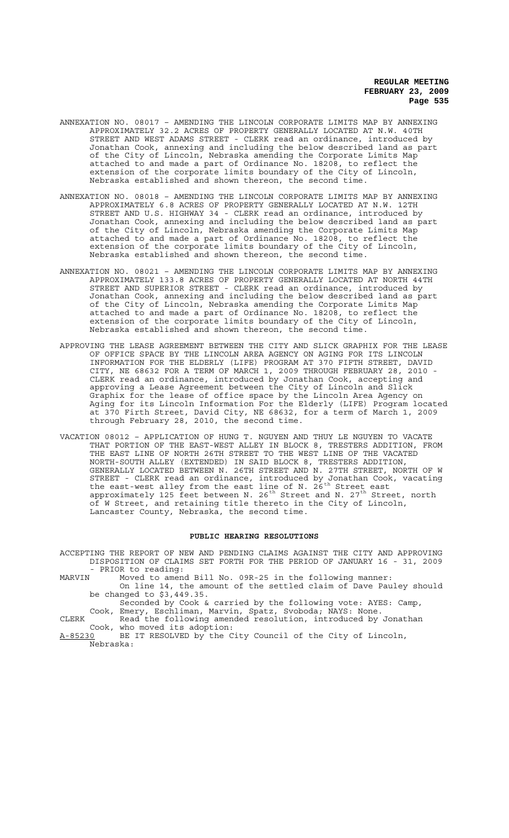- ANNEXATION NO. 08017 AMENDING THE LINCOLN CORPORATE LIMITS MAP BY ANNEXING APPROXIMATELY 32.2 ACRES OF PROPERTY GENERALLY LOCATED AT N.W. 40TH STREET AND WEST ADAMS STREET - CLERK read an ordinance, introduced by Jonathan Cook, annexing and including the below described land as part of the City of Lincoln, Nebraska amending the Corporate Limits Map attached to and made a part of Ordinance No. 18208, to reflect the extension of the corporate limits boundary of the City of Lincoln, Nebraska established and shown thereon, the second time.
- ANNEXATION NO. 08018 AMENDING THE LINCOLN CORPORATE LIMITS MAP BY ANNEXING APPROXIMATELY 6.8 ACRES OF PROPERTY GENERALLY LOCATED AT N.W. 12TH STREET AND U.S. HIGHWAY 34 - CLERK read an ordinance, introduced by Jonathan Cook, annexing and including the below described land as part of the City of Lincoln, Nebraska amending the Corporate Limits Map attached to and made a part of Ordinance No. 18208, to reflect the extension of the corporate limits boundary of the City of Lincoln, Nebraska established and shown thereon, the second time.
- ANNEXATION NO. 08021 AMENDING THE LINCOLN CORPORATE LIMITS MAP BY ANNEXING APPROXIMATELY 133.8 ACRES OF PROPERTY GENERALLY LOCATED AT NORTH 44TH STREET AND SUPERIOR STREET - CLERK read an ordinance, introduced by Jonathan Cook, annexing and including the below described land as part of the City of Lincoln, Nebraska amending the Corporate Limits Map attached to and made a part of Ordinance No. 18208, to reflect the extension of the corporate limits boundary of the City of Lincoln, Nebraska established and shown thereon, the second time.
- APPROVING THE LEASE AGREEMENT BETWEEN THE CITY AND SLICK GRAPHIX FOR THE LEASE OF OFFICE SPACE BY THE LINCOLN AREA AGENCY ON AGING FOR ITS LINCOLN INFORMATION FOR THE ELDERLY (LIFE) PROGRAM AT 370 FIFTH STREET, DAVID CITY, NE 68632 FOR A TERM OF MARCH 1, 2009 THROUGH FEBRUARY 28, 2010 - CLERK read an ordinance, introduced by Jonathan Cook, accepting and approving a Lease Agreement between the City of Lincoln and Slick Graphix for the lease of office space by the Lincoln Area Agency on Aging for its Lincoln Information For the Elderly (LIFE) Program located at 370 Firth Street, David City, NE 68632, for a term of March 1, 2009 through February 28, 2010, the second time.
- VACATION 08012 APPLICATION OF HUNG T. NGUYEN AND THUY LE NGUYEN TO VACATE THAT PORTION OF THE EAST-WEST ALLEY IN BLOCK 8, TRESTERS ADDITION, FROM THE EAST LINE OF NORTH 26TH STREET TO THE WEST LINE OF THE VACATED NORTH-SOUTH ALLEY (EXTENDED) IN SAID BLOCK 8, TRESTERS ADDITION, GENERALLY LOCATED BETWEEN N. 26TH STREET AND N. 27TH STREET, NORTH OF W STREET - CLERK read an ordinance, introduced by Jonathan Cook, vacating the east-west alley from the east line of N.  $26^\mathrm{th}$  Street east approximately 125 feet between N. 26<sup>th</sup> Street and N. 27<sup>th</sup> Street, north of W Street, and retaining title thereto in the City of Lincoln, Lancaster County, Nebraska, the second time.

## **PUBLIC HEARING RESOLUTIONS**

- ACCEPTING THE REPORT OF NEW AND PENDING CLAIMS AGAINST THE CITY AND APPROVING DISPOSITION OF CLAIMS SET FORTH FOR THE PERIOD OF JANUARY 16 - 31, 2009 - PRIOR to reading:<br>MARVIN Moved to amen
- Moved to amend Bill No. 09R-25 in the following manner: On line 14, the amount of the settled claim of Dave Pauley should be changed to \$3,449.35.

Seconded by Cook & carried by the following vote: AYES: Camp, Cook, Emery, Eschliman, Marvin, Spatz, Svoboda; NAYS: None.

CLERK Read the following amended resolution, introduced by Jonathan Cook, who moved its adoption:<br>A-85230 BE IT RESOLVED by the C

BE IT RESOLVED by the City Council of the City of Lincoln, Nebraska: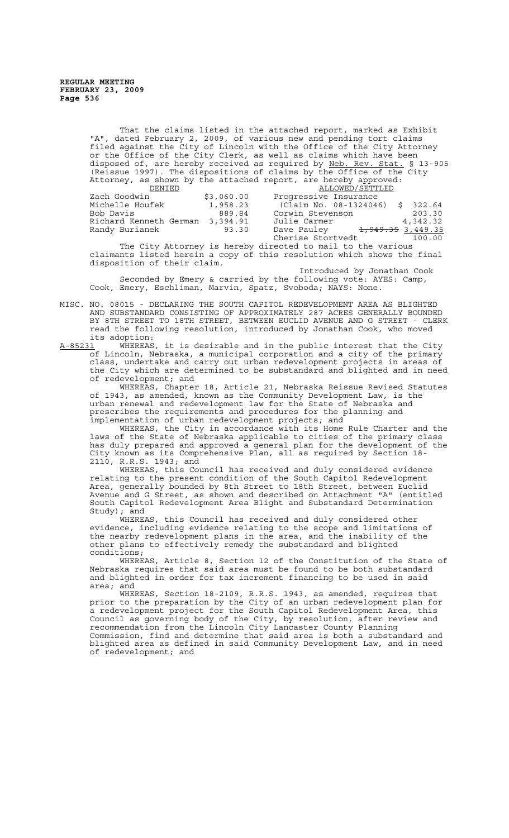That the claims listed in the attached report, marked as Exhibit "A", dated February 2, 2009, of various new and pending tort claims filed against the City of Lincoln with the Office of the City Attorney or the Office of the City Clerk, as well as claims which have been disposed of, are hereby received as required by Neb. Rev. Stat. § 13-905 (Reissue 1997). The dispositions of claims by the Office of the City Attorney, as shown by the attached report, are hereby approved: DENIED ALLOWED/SETTLED

| \$3,060.00                         | Progressive Insurance  |                              |
|------------------------------------|------------------------|------------------------------|
| 1,958.23                           | (Claim No. 08-1324046) | \$322.64                     |
| 889.84                             | Corwin Stevenson       | 203.30                       |
| Richard Kenneth German<br>3,394.91 | Julie Carmer           | 4,342.32                     |
| 93.30                              | Dave Pauley            |                              |
|                                    | Cherise Stortvedt      | 100.00                       |
|                                    |                        | <del>1,949.35</del> 3,449.35 |

The City Attorney is hereby directed to mail to the various claimants listed herein a copy of this resolution which shows the final disposition of their claim.

Introduced by Jonathan Cook Seconded by Emery & carried by the following vote: AYES: Camp, Cook, Emery, Eschliman, Marvin, Spatz, Svoboda; NAYS: None.

MISC. NO. 08015 - DECLARING THE SOUTH CAPITOL REDEVELOPMENT AREA AS BLIGHTED AND SUBSTANDARD CONSISTING OF APPROXIMATELY 287 ACRES GENERALLY BOUNDED BY 8TH STREET TO 18TH STREET, BETWEEN EUCLID AVENUE AND G STREET - CLERK read the following resolution, introduced by Jonathan Cook, who moved its adoption:<br><u>A-85231</u> WHEREAS

WHEREAS, it is desirable and in the public interest that the City of Lincoln, Nebraska, a municipal corporation and a city of the primary class, undertake and carry out urban redevelopment projects in areas of the City which are determined to be substandard and blighted and in need of redevelopment; and

WHEREAS, Chapter 18, Article 21, Nebraska Reissue Revised Statutes of 1943, as amended, known as the Community Development Law, is the urban renewal and redevelopment law for the State of Nebraska and prescribes the requirements and procedures for the planning and implementation of urban redevelopment projects; and

WHEREAS, the City in accordance with its Home Rule Charter and the laws of the State of Nebraska applicable to cities of the primary class has duly prepared and approved a general plan for the development of the City known as its Comprehensive Plan, all as required by Section 18- 2110, R.R.S. 1943; and

WHEREAS, this Council has received and duly considered evidence relating to the present condition of the South Capitol Redevelopment Area, generally bounded by 8th Street to 18th Street, between Euclid Avenue and G Street, as shown and described on Attachment "A" (entitled South Capitol Redevelopment Area Blight and Substandard Determination Study); and

WHEREAS, this Council has received and duly considered other evidence, including evidence relating to the scope and limitations of the nearby redevelopment plans in the area, and the inability of the other plans to effectively remedy the substandard and blighted conditions;

WHEREAS, Article 8, Section 12 of the Constitution of the State of Nebraska requires that said area must be found to be both substandard and blighted in order for tax increment financing to be used in said area; and

WHEREAS, Section 18-2109, R.R.S. 1943, as amended, requires that prior to the preparation by the City of an urban redevelopment plan for a redevelopment project for the South Capitol Redevelopment Area, this Council as governing body of the City, by resolution, after review and recommendation from the Lincoln City Lancaster County Planning Commission, find and determine that said area is both a substandard and blighted area as defined in said Community Development Law, and in need of redevelopment; and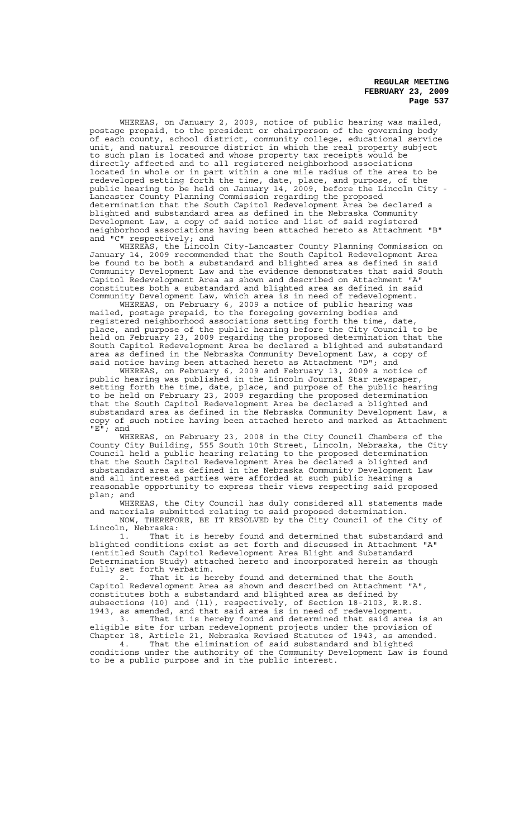WHEREAS, on January 2, 2009, notice of public hearing was mailed, postage prepaid, to the president or chairperson of the governing body of each county, school district, community college, educational service unit, and natural resource district in which the real property subject to such plan is located and whose property tax receipts would be directly affected and to all registered neighborhood associations located in whole or in part within a one mile radius of the area to be redeveloped setting forth the time, date, place, and purpose, of the public hearing to be held on January 14, 2009, before the Lincoln City - Lancaster County Planning Commission regarding the proposed determination that the South Capitol Redevelopment Area be declared a blighted and substandard area as defined in the Nebraska Community Development Law, a copy of said notice and list of said registered neighborhood associations having been attached hereto as Attachment "B" and "C" respectively; and

WHEREAS, the Lincoln City-Lancaster County Planning Commission on January 14, 2009 recommended that the South Capitol Redevelopment Area be found to be both a substandard and blighted area as defined in said Community Development Law and the evidence demonstrates that said South Capitol Redevelopment Area as shown and described on Attachment "A" constitutes both a substandard and blighted area as defined in said Community Development Law, which area is in need of redevelopment.

WHEREAS, on February 6, 2009 a notice of public hearing was mailed, postage prepaid, to the foregoing governing bodies and registered neighborhood associations setting forth the time, date, place, and purpose of the public hearing before the City Council to be held on February 23, 2009 regarding the proposed determination that the South Capitol Redevelopment Area be declared a blighted and substandard area as defined in the Nebraska Community Development Law, a copy of said notice having been attached hereto as Attachment "D"; and

WHEREAS, on February 6, 2009 and February 13, 2009 a notice of public hearing was published in the Lincoln Journal Star newspaper, setting forth the time, date, place, and purpose of the public hearing to be held on February 23, 2009 regarding the proposed determination that the South Capitol Redevelopment Area be declared a blighted and substandard area as defined in the Nebraska Community Development Law, a copy of such notice having been attached hereto and marked as Attachment "E"; and

WHEREAS, on February 23, 2008 in the City Council Chambers of the County City Building, 555 South 10th Street, Lincoln, Nebraska, the City Council held a public hearing relating to the proposed determination that the South Capitol Redevelopment Area be declared a blighted and substandard area as defined in the Nebraska Community Development Law and all interested parties were afforded at such public hearing a reasonable opportunity to express their views respecting said proposed plan; and

WHEREAS, the City Council has duly considered all statements made and materials submitted relating to said proposed determination.

NOW, THEREFORE, BE IT RESOLVED by the City Council of the City of Lincoln, Nebraska:

1. That it is hereby found and determined that substandard and blighted conditions exist as set forth and discussed in Attachment "A" (entitled South Capitol Redevelopment Area Blight and Substandard Determination Study) attached hereto and incorporated herein as though fully set forth verbatim.

That it is hereby found and determined that the South Capitol Redevelopment Area as shown and described on Attachment "A", constitutes both a substandard and blighted area as defined by subsections (10) and (11), respectively, of Section 18-2103, R.R.S. 1943, as amended, and that said area is in need of redevelopment.

3. That it is hereby found and determined that said area is an eligible site for urban redevelopment projects under the provision of Chapter 18, Article 21, Nebraska Revised Statutes of 1943, as amended.

4. That the elimination of said substandard and blighted conditions under the authority of the Community Development Law is found to be a public purpose and in the public interest.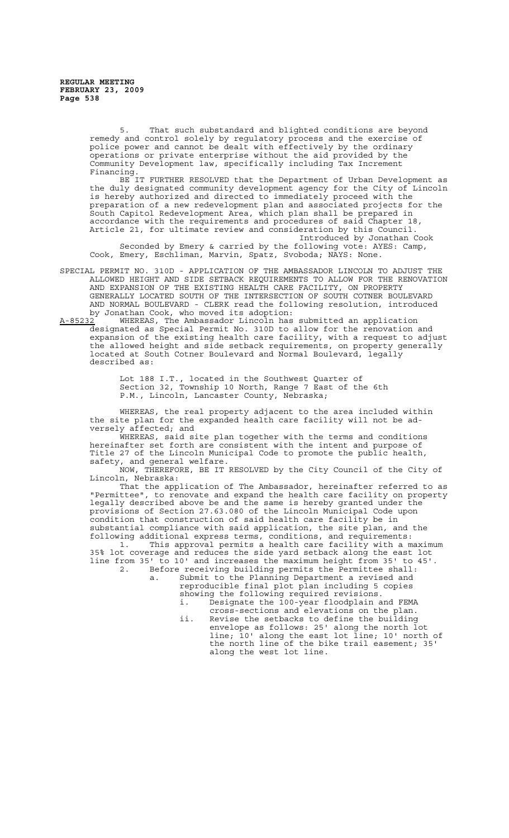5. That such substandard and blighted conditions are beyond remedy and control solely by regulatory process and the exercise of police power and cannot be dealt with effectively by the ordinary operations or private enterprise without the aid provided by the Community Development law, specifically including Tax Increment Financing.

BE IT FURTHER RESOLVED that the Department of Urban Development as the duly designated community development agency for the City of Lincoln is hereby authorized and directed to immediately proceed with the preparation of a new redevelopment plan and associated projects for the South Capitol Redevelopment Area, which plan shall be prepared in accordance with the requirements and procedures of said Chapter 18, Article 21, for ultimate review and consideration by this Council. Introduced by Jonathan Cook

Seconded by Emery & carried by the following vote: AYES: Camp, Cook, Emery, Eschliman, Marvin, Spatz, Svoboda; NAYS: None.

- SPECIAL PERMIT NO. 310D APPLICATION OF THE AMBASSADOR LINCOLN TO ADJUST THE ALLOWED HEIGHT AND SIDE SETBACK REQUIREMENTS TO ALLOW FOR THE RENOVATION AND EXPANSION OF THE EXISTING HEALTH CARE FACILITY, ON PROPERTY GENERALLY LOCATED SOUTH OF THE INTERSECTION OF SOUTH COTNER BOULEVARD AND NORMAL BOULEVARD - CLERK read the following resolution, introduced by Jonathan Cook, who moved its adoption:<br>A-85232 WHEREAS, The Ambassador Lincoln has
- WHEREAS, The Ambassador Lincoln has submitted an application designated as Special Permit No. 310D to allow for the renovation and expansion of the existing health care facility, with a request to adjust the allowed height and side setback requirements, on property generally located at South Cotner Boulevard and Normal Boulevard, legally described as:

Lot 188 I.T., located in the Southwest Quarter of Section 32, Township 10 North, Range 7 East of the 6th P.M., Lincoln, Lancaster County, Nebraska;

WHEREAS, the real property adjacent to the area included within the site plan for the expanded health care facility will not be adversely affected; and

WHEREAS, said site plan together with the terms and conditions hereinafter set forth are consistent with the intent and purpose of Title 27 of the Lincoln Municipal Code to promote the public health, safety, and general welfare.

NOW, THEREFORE, BE IT RESOLVED by the City Council of the City of Lincoln, Nebraska:

That the application of The Ambassador, hereinafter referred to as "Permittee", to renovate and expand the health care facility on property legally described above be and the same is hereby granted under the provisions of Section 27.63.080 of the Lincoln Municipal Code upon .<br>condition that construction of said health care facility be in substantial compliance with said application, the site plan, and the following additional express terms, conditions, and requirements:

1. This approval permits a health care facility with a maximum 1. This approval permits a health care facility with a maxim<br>35% lot coverage and reduces the side yard setback along the east lot line from 35' to 10' and increases the maximum height from 35' to 45'.

2. Before receiving building permits the Permittee shall: a. Submit to the Planning Department a revised and reproducible final plot plan including 5 copies

showing the following required revisions. i. Designate the 100-year floodplain and FEMA

cross-sections and elevations on the plan. ii. Revise the setbacks to define the building envelope as follows: 25' along the north lot line; 10' along the east lot line; 10' north of the north line of the bike trail easement; 35' along the west lot line.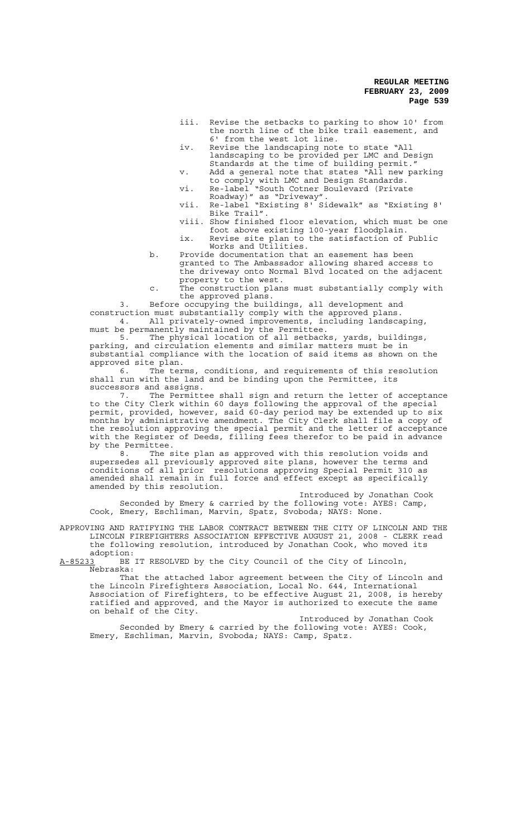- iii. Revise the setbacks to parking to show 10' from the north line of the bike trail easement, and 6' from the west lot line.
- iv. Revise the landscaping note to state "All landscaping to be provided per LMC and Design Standards at the time of building permit."
- v. Add a general note that states "All new parking to comply with LMC and Design Standards. vi. Re-label "South Cotner Boulevard (Private
- Roadway)" as "Driveway".
- vii. Re-label "Existing 8' Sidewalk" as "Existing 8' Bike Trail".
- viii. Show finished floor elevation, which must be one foot above existing 100-year floodplain.
- ix. Revise site plan to the satisfaction of Public Works and Utilities.
- b. Provide documentation that an easement has been granted to The Ambassador allowing shared access to the driveway onto Normal Blvd located on the adjacent property to the west.

c. The construction plans must substantially comply with the approved plans.

3. Before occupying the buildings, all development and construction must substantially comply with the approved plans. 4. All privately-owned improvements, including landscaping, 4. All privately-owned improvements, in<br>must be permanently maintained by the Permittee.<br>5. The physical location of all setback

5. The physical location of all setbacks, yards, buildings, parking, and circulation elements and similar matters must be in and circulation elements and similar matters must be in substantial compliance with the location of said items as shown on the approved site plan.

The terms, conditions, and requirements of this resolution shall run with the land and be binding upon the Permittee, its successors and assigns.

7. The Permittee shall sign and return the letter of acceptance to the City Clerk within 60 days following the approval of the special permit, provided, however, said 60-day period may be extended up to six months by administrative amendment. The City Clerk shall file a copy of the resolution approving the special permit and the letter of acceptance with the Register of Deeds, filling fees therefor to be paid in advance by the Permittee.

8. The site plan as approved with this resolution voids and supersedes all previously approved site plans, however the terms and conditions of all prior resolutions approving Special Permit 310 as amended shall remain in full force and effect except as specifically amended by this resolution.

Introduced by Jonathan Cook Seconded by Emery & carried by the following vote: AYES: Camp, Cook, Emery, Eschliman, Marvin, Spatz, Svoboda; NAYS: None.

APPROVING AND RATIFYING THE LABOR CONTRACT BETWEEN THE CITY OF LINCOLN AND THE LINCOLN FIREFIGHTERS ASSOCIATION EFFECTIVE AUGUST 21, 2008 - CLERK read the following resolution, introduced by Jonathan Cook, who moved its adoption:<br>A-85233 BE

BE IT RESOLVED by the City Council of the City of Lincoln, Nebraska:

That the attached labor agreement between the City of Lincoln and the Lincoln Firefighters Association, Local No. 644, International Association of Firefighters, to be effective August 21, 2008, is hereby ratified and approved, and the Mayor is authorized to execute the same on behalf of the City.

Introduced by Jonathan Cook Seconded by Emery & carried by the following vote: AYES: Cook, Emery, Eschliman, Marvin, Svoboda; NAYS: Camp, Spatz.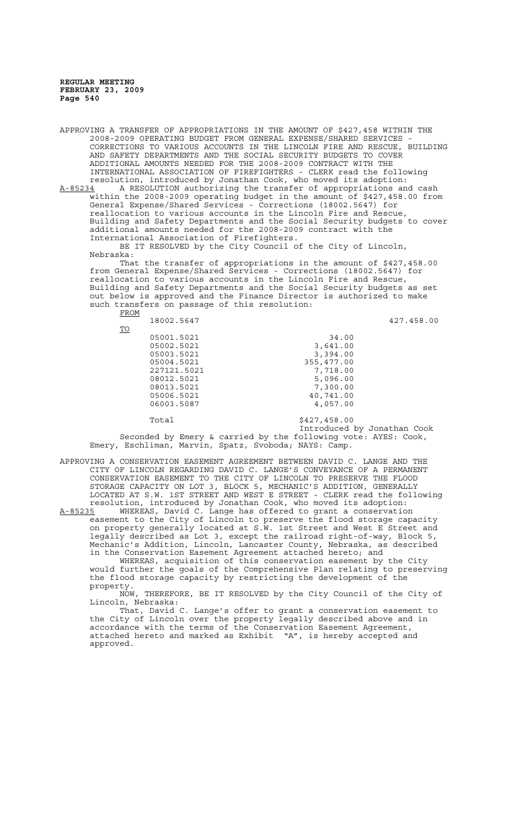APPROVING A TRANSFER OF APPROPRIATIONS IN THE AMOUNT OF \$427,458 WITHIN THE 2008-2009 OPERATING BUDGET FROM GENERAL EXPENSE/SHARED SERVICES - CORRECTIONS TO VARIOUS ACCOUNTS IN THE LINCOLN FIRE AND RESCUE, BUILDING AND SAFETY DEPARTMENTS AND THE SOCIAL SECURITY BUDGETS TO COVER ADDITIONAL AMOUNTS NEEDED FOR THE 2008-2009 CONTRACT WITH THE INTERNATIONAL ASSOCIATION OF FIREFIGHTERS - CLERK read the following resolution, introduced by Jonathan Cook, who moved its adoption: A-85234 A RESOLUTION authorizing the transfer of appropriations and cash within the 2008-2009 operating budget in the amount of \$427,458.00 from General Expense/Shared Services - Corrections (18002.5647) for reallocation to various accounts in the Lincoln Fire and Rescue, Building and Safety Departments and the Social Security budgets to cover additional amounts needed for the 2008-2009 contract with the International Association of Firefighters. BE IT RESOLVED by the City Council of the City of Lincoln, Nebraska: That the transfer of appropriations in the amount of \$427,458.00 from General Expense/Shared Services - Corrections (18002.5647) for reallocation to various accounts in the Lincoln Fire and Rescue, Building and Safety Departments and the Social Security budgets as set out below is approved and the Finance Director is authorized to make such transfers on passage of this resolution: FROM 18002.5647 427.458.00 TO 05001.5021 34.00<br>05002.5021 3.641.00 3,641.00<br>3,394.00 05003.5021<br>05004.5021 05004.5021 355,477.00

227121.5021 7,718.00 08012.5021 5,096.00 08013.5021 7,300.00 05006.5021 40,741.00<br>06003.5087 4.057.00 06003.5087

Total \$427,458.00

Introduced by Jonathan Cook Seconded by Emery & carried by the following vote: AYES: Cook, Emery, Eschliman, Marvin, Spatz, Svoboda; NAYS: Camp.

APPROVING A CONSERVATION EASEMENT AGREEMENT BETWEEN DAVID C. LANGE AND THE CITY OF LINCOLN REGARDING DAVID C. LANGE'S CONVEYANCE OF A PERMANENT CONSERVATION EASEMENT TO THE CITY OF LINCOLN TO PRESERVE THE FLOOD STORAGE CAPACITY ON LOT 3, BLOCK 5, MECHANIC'S ADDITION, GENERALLY LOCATED AT S.W. 1ST STREET AND WEST E STREET - CLERK read the following resolution, introduced by Jonathan Cook, who moved its adoption:

A-85235 WHEREAS, David C. Lange has offered to grant a conservation easement to the City of Lincoln to preserve the flood storage capacity on property generally located at S.W. 1st Street and West E Street and legally described as Lot 3, except the railroad right-of-way, Block 5, Mechanic's Addition, Lincoln, Lancaster County, Nebraska, as described in the Conservation Easement Agreement attached hereto; and

WHEREAS, acquisition of this conservation easement by the City would further the goals of the Comprehensive Plan relating to preserving the flood storage capacity by restricting the development of the property.

NOW, THEREFORE, BE IT RESOLVED by the City Council of the City of Lincoln, Nebraska:

That, David C. Lange's offer to grant a conservation easement to the City of Lincoln over the property legally described above and in accordance with the terms of the Conservation Easement Agreement, attached hereto and marked as Exhibit "A", is hereby accepted and approved.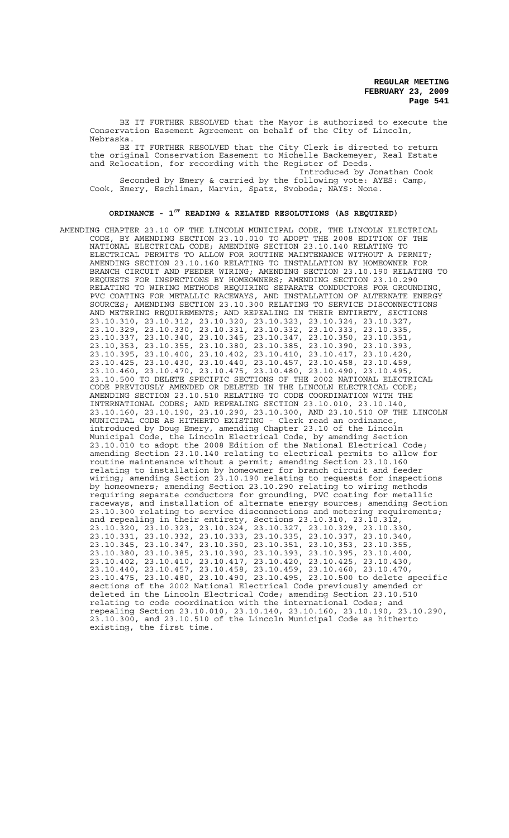BE IT FURTHER RESOLVED that the Mayor is authorized to execute the Conservation Easement Agreement on behalf of the City of Lincoln, Nebraska.

BE IT FURTHER RESOLVED that the City Clerk is directed to return the original Conservation Easement to Michelle Backemeyer, Real Estate and Relocation, for recording with the Register of Deeds.

Introduced by Jonathan Cook Seconded by Emery & carried by the following vote: AYES: Camp, Cook, Emery, Eschliman, Marvin, Spatz, Svoboda; NAYS: None.

## **ORDINANCE - 1ST READING & RELATED RESOLUTIONS (AS REQUIRED)**

AMENDING CHAPTER 23.10 OF THE LINCOLN MUNICIPAL CODE, THE LINCOLN ELECTRICAL CODE, BY AMENDING SECTION 23.10.010 TO ADOPT THE 2008 EDITION OF THE NATIONAL ELECTRICAL CODE; AMENDING SECTION 23.10.140 RELATING TO ELECTRICAL PERMITS TO ALLOW FOR ROUTINE MAINTENANCE WITHOUT A PERMIT; AMENDING SECTION 23.10.160 RELATING TO INSTALLATION BY HOMEOWNER FOR BRANCH CIRCUIT AND FEEDER WIRING; AMENDING SECTION 23.10.190 RELATING TO REQUESTS FOR INSPECTIONS BY HOMEOWNERS; AMENDING SECTION 23.10.290 RELATING TO WIRING METHODS REQUIRING SEPARATE CONDUCTORS FOR GROUNDING, PVC COATING FOR METALLIC RACEWAYS, AND INSTALLATION OF ALTERNATE ENERGY SOURCES; AMENDING SECTION 23.10.300 RELATING TO SERVICE DISCONNECTIONS AND METERING REQUIREMENTS; AND REPEALING IN THEIR ENTIRETY, SECTIONS 23.10.310, 23.10.312, 23.10.320, 23.10.323, 23.10.324, 23.10.327, 23.10.329, 23.10.330, 23.10.331, 23.10.332, 23.10.333, 23.10.335, 23.10.337, 23.10.340, 23.10.345, 23.10.347, 23.10.350, 23.10.351, 23.10,353, 23.10.355, 23.10.380, 23.10.385, 23.10.390, 23.10.393, 23.10.395, 23.10.400, 23.10.402, 23.10.410, 23.10.417, 23.10.420, 23.10.425, 23.10.430, 23.10.440, 23.10.457, 23.10.458, 23.10.459, 23.10.460, 23.10.470, 23.10.475, 23.10.480, 23.10.490, 23.10.495, 23.10.500 TO DELETE SPECIFIC SECTIONS OF THE 2002 NATIONAL ELECTRICAL CODE PREVIOUSLY AMENDED OR DELETED IN THE LINCOLN ELECTRICAL CODE; AMENDING SECTION 23.10.510 RELATING TO CODE COORDINATION WITH THE INTERNATIONAL CODES; AND REPEALING SECTION 23.10.010, 23.10.140, 23.10.160, 23.10.190, 23.10.290, 23.10.300, AND 23.10.510 OF THE LINCOLN MUNICIPAL CODE AS HITHERTO EXISTING - Clerk read an ordinance, introduced by Doug Emery, amending Chapter 23.10 of the Lincoln Municipal Code, the Lincoln Electrical Code, by amending Section 23.10.010 to adopt the 2008 Edition of the National Electrical Code; amending Section 23.10.140 relating to electrical permits to allow for routine maintenance without a permit; amending Section 23.10.160 relating to installation by homeowner for branch circuit and feeder wiring; amending Section 23.10.190 relating to requests for inspections by homeowners; amending Section 23.10.290 relating to wiring methods requiring separate conductors for grounding, PVC coating for metallic raceways, and installation of alternate energy sources; amending Section 23.10.300 relating to service disconnections and metering requirements; and repealing in their entirety, Sections 23.10.310, 23.10.312, 23.10.320, 23.10.323, 23.10.324, 23.10.327, 23.10.329, 23.10.330, 23.10.331, 23.10.332, 23.10.333, 23.10.335, 23.10.337, 23.10.340, 23.10.345, 23.10.347, 23.10.350, 23.10.351, 23.10,353, 23.10.355, 23.10.380, 23.10.385, 23.10.390, 23.10.393, 23.10.395, 23.10.400, 23.10.402, 23.10.410, 23.10.417, 23.10.420, 23.10.425, 23.10.430, 23.10.440, 23.10.457, 23.10.458, 23.10.459, 23.10.460, 23.10.470, 23.10.475, 23.10.480, 23.10.490, 23.10.495, 23.10.500 to delete specific sections of the 2002 National Electrical Code previously amended or deleted in the Lincoln Electrical Code; amending Section 23.10.510 relating to code coordination with the international Codes; and repealing Section 23.10.010, 23.10.140, 23.10.160, 23.10.190, 23.10.290, 23.10.300, and 23.10.510 of the Lincoln Municipal Code as hitherto existing, the first time.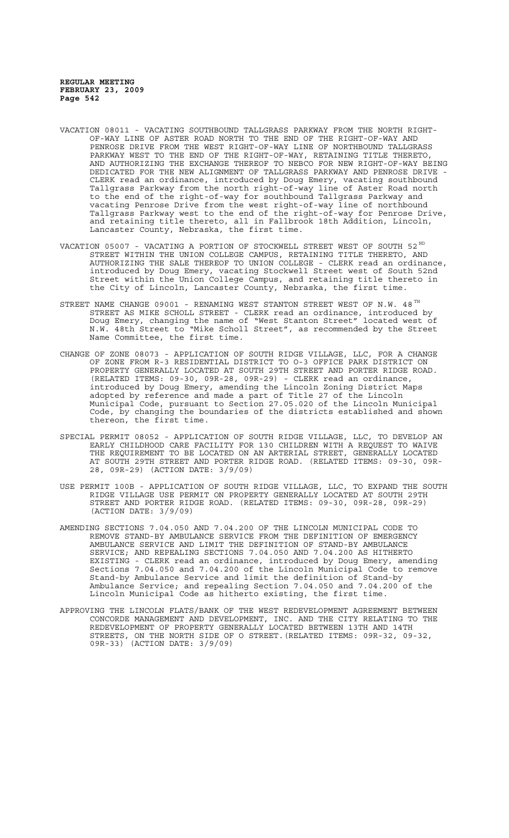- VACATION 08011 VACATING SOUTHBOUND TALLGRASS PARKWAY FROM THE NORTH RIGHT-OF-WAY LINE OF ASTER ROAD NORTH TO THE END OF THE RIGHT-OF-WAY AND PENROSE DRIVE FROM THE WEST RIGHT-OF-WAY LINE OF NORTHBOUND TALLGRASS PARKWAY WEST TO THE END OF THE RIGHT-OF-WAY, RETAINING TITLE THERETO, AND AUTHORIZING THE EXCHANGE THEREOF TO NEBCO FOR NEW RIGHT-OF-WAY BEING DEDICATED FOR THE NEW ALIGNMENT OF TALLGRASS PARKWAY AND PENROSE DRIVE CLERK read an ordinance, introduced by Doug Emery, vacating southbound Tallgrass Parkway from the north right-of-way line of Aster Road north to the end of the right-of-way for southbound Tallgrass Parkway and vacating Penrose Drive from the west right-of-way line of northbound Tallgrass Parkway west to the end of the right-of-way for Penrose Drive, and retaining title thereto, all in Fallbrook 18th Addition, Lincoln, Lancaster County, Nebraska, the first time.
- VACATION 05007 VACATING A PORTION OF STOCKWELL STREET WEST OF SOUTH  $52^{ND}$ STREET WITHIN THE UNION COLLEGE CAMPUS, RETAINING TITLE THERETO, AND AUTHORIZING THE SALE THEREOF TO UNION COLLEGE - CLERK read an ordinance, introduced by Doug Emery, vacating Stockwell Street west of South 52nd Street within the Union College Campus, and retaining title thereto in the City of Lincoln, Lancaster County, Nebraska, the first time.
- STREET NAME CHANGE 09001 RENAMING WEST STANTON STREET WEST OF N.W. 48 $^{TH}$ STREET AS MIKE SCHOLL STREET - CLERK read an ordinance, introduced by Doug Emery, changing the name of "West Stanton Street" located west of N.W. 48th Street to "Mike Scholl Street", as recommended by the Street Name Committee, the first time.
- CHANGE OF ZONE 08073 APPLICATION OF SOUTH RIDGE VILLAGE, LLC, FOR A CHANGE OF ZONE FROM R-3 RESIDENTIAL DISTRICT TO O-3 OFFICE PARK DISTRICT ON PROPERTY GENERALLY LOCATED AT SOUTH 29TH STREET AND PORTER RIDGE ROAD. (RELATED ITEMS: 09-30, 09R-28, 09R-29) - CLERK read an ordinance, introduced by Doug Emery, amending the Lincoln Zoning District Maps adopted by reference and made a part of Title 27 of the Lincoln Municipal Code, pursuant to Section 27.05.020 of the Lincoln Municipal Code, by changing the boundaries of the districts established and shown thereon, the first time.
- SPECIAL PERMIT 08052 APPLICATION OF SOUTH RIDGE VILLAGE, LLC, TO DEVELOP AN EARLY CHILDHOOD CARE FACILITY FOR 130 CHILDREN WITH A REQUEST TO WAIVE THE REQUIREMENT TO BE LOCATED ON AN ARTERIAL STREET, GENERALLY LOCATED AT SOUTH 29TH STREET AND PORTER RIDGE ROAD. (RELATED ITEMS: 09-30, 09R-28, 09R-29) (ACTION DATE: 3/9/09)
- USE PERMIT 100B APPLICATION OF SOUTH RIDGE VILLAGE, LLC, TO EXPAND THE SOUTH RIDGE VILLAGE USE PERMIT ON PROPERTY GENERALLY LOCATED AT SOUTH 29TH STREET AND PORTER RIDGE ROAD. (RELATED ITEMS: 09-30, 09R-28, 09R-29) (ACTION DATE: 3/9/09)
- AMENDING SECTIONS 7.04.050 AND 7.04.200 OF THE LINCOLN MUNICIPAL CODE TO REMOVE STAND-BY AMBULANCE SERVICE FROM THE DEFINITION OF EMERGENCY AMBULANCE SERVICE AND LIMIT THE DEFINITION OF STAND-BY AMBULANCE SERVICE; AND REPEALING SECTIONS 7.04.050 AND 7.04.200 AS HITHERTO EXISTING - CLERK read an ordinance, introduced by Doug Emery, amending<br>Sections 7.04.050 and 7.04.200 of the Lincoln Municipal Code to remove Sections 7.04.050 and 7.04.200 of the Lincoln Municipal Code Stand-by Ambulance Service and limit the definition of Stand-by Ambulance Service; and repealing Section 7.04.050 and 7.04.200 of the Lincoln Municipal Code as hitherto existing, the first time.
- APPROVING THE LINCOLN FLATS/BANK OF THE WEST REDEVELOPMENT AGREEMENT BETWEEN CONCORDE MANAGEMENT AND DEVELOPMENT, INC. AND THE CITY RELATING TO THE REDEVELOPMENT OF PROPERTY GENERALLY LOCATED BETWEEN 13TH AND 14TH STREETS, ON THE NORTH SIDE OF O STREET.(RELATED ITEMS: 09R-32, 09-32, 09R-33) (ACTION DATE: 3/9/09)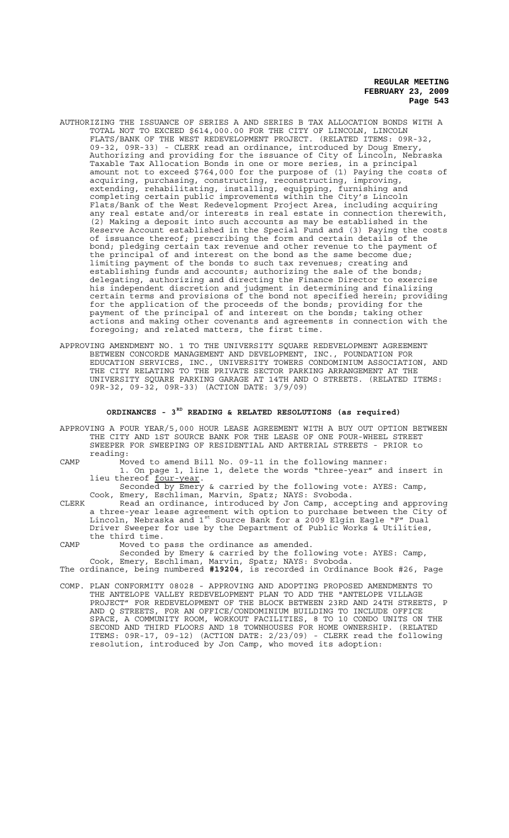- AUTHORIZING THE ISSUANCE OF SERIES A AND SERIES B TAX ALLOCATION BONDS WITH A TOTAL NOT TO EXCEED \$614,000.00 FOR THE CITY OF LINCOLN, LINCOLN FLATS/BANK OF THE WEST REDEVELOPMENT PROJECT. (RELATED ITEMS: 09R-32, 09-32, 09R-33) - CLERK read an ordinance, introduced by Doug Emery, Authorizing and providing for the issuance of City of Lincoln, Nebraska Taxable Tax Allocation Bonds in one or more series, in a principal amount not to exceed \$764,000 for the purpose of (1) Paying the costs of acquiring, purchasing, constructing, reconstructing, improving, extending, rehabilitating, installing, equipping, furnishing and completing certain public improvements within the City's Lincoln Flats/Bank of the West Redevelopment Project Area, including acquiring any real estate and/or interests in real estate in connection therewith, (2) Making a deposit into such accounts as may be established in the Reserve Account established in the Special Fund and (3) Paying the costs of issuance thereof; prescribing the form and certain details of the bond; pledging certain tax revenue and other revenue to the payment of the principal of and interest on the bond as the same become due; limiting payment of the bonds to such tax revenues; creating and establishing funds and accounts; authorizing the sale of the bonds; delegating, authorizing and directing the Finance Director to exercise his independent discretion and judgment in determining and finalizing certain terms and provisions of the bond not specified herein; providing for the application of the proceeds of the bonds; providing for the payment of the principal of and interest on the bonds; taking other actions and making other covenants and agreements in connection with the foregoing; and related matters, the first time.
- APPROVING AMENDMENT NO. 1 TO THE UNIVERSITY SQUARE REDEVELOPMENT AGREEMENT BETWEEN CONCORDE MANAGEMENT AND DEVELOPMENT, INC., FOUNDATION FOR EDUCATION SERVICES, INC., UNIVERSITY TOWERS CONDOMINIUM ASSOCIATION, AND THE CITY RELATING TO THE PRIVATE SECTOR PARKING ARRANGEMENT AT THE UNIVERSITY SQUARE PARKING GARAGE AT 14TH AND O STREETS. (RELATED ITEMS: 09R-32, 09-32, 09R-33) (ACTION DATE: 3/9/09)

# ORDINANCES - 3<sup>RD</sup> READING & RELATED RESOLUTIONS (as required)

- APPROVING A FOUR YEAR/5,000 HOUR LEASE AGREEMENT WITH A BUY OUT OPTION BETWEEN THE CITY AND 1ST SOURCE BANK FOR THE LEASE OF ONE FOUR-WHEEL STREET SWEEPER FOR SWEEPING OF RESIDENTIAL AND ARTERIAL STREETS - PRIOR to reading:
- CAMP Moved to amend Bill No. 09-11 in the following manner: 1. On page 1, line 1, delete the words "three-year" and insert in lieu thereof <u>four-year</u>.<br>Seconded by Emery & carried by the following vote: AYES: Camp,
	- Cook, Emery, Eschliman, Marvin, Spatz; NAYS: Svoboda.
- CLERK Read an ordinance, introduced by Jon Camp, accepting and approving a three-year lease agreement with option to purchase between the City of Lincoln, Nebraska and 1st Source Bank for a 2009 Elgin Eagle "F" Dual Driver Sweeper for use by the Department of Public Works & Utilities, the third time.
- CAMP Moved to pass the ordinance as amended. Seconded by Emery & carried by the following vote: AYES: Camp, Cook, Emery, Eschliman, Marvin, Spatz; NAYS: Svoboda. The ordinance, being numbered **#19204**, is recorded in Ordinance Book #26, Page
- COMP. PLAN CONFORMITY 08028 APPROVING AND ADOPTING PROPOSED AMENDMENTS TO THE ANTELOPE VALLEY REDEVELOPMENT PLAN TO ADD THE "ANTELOPE VILLAGE PROJECT" FOR REDEVELOPMENT OF THE BLOCK BETWEEN 23RD AND 24TH STREETS, P AND Q STREETS, FOR AN OFFICE/CONDOMINIUM BUILDING TO INCLUDE OFFICE SPACE, A COMMUNITY ROOM, WORKOUT FACILITIES, 8 TO 10 CONDO UNITS ON THE SECOND AND THIRD FLOORS AND 18 TOWNHOUSES FOR HOME OWNERSHIP. (RELATED ITEMS: 09R-17, 09-12) (ACTION DATE: 2/23/09) - CLERK read the following resolution, introduced by Jon Camp, who moved its adoption: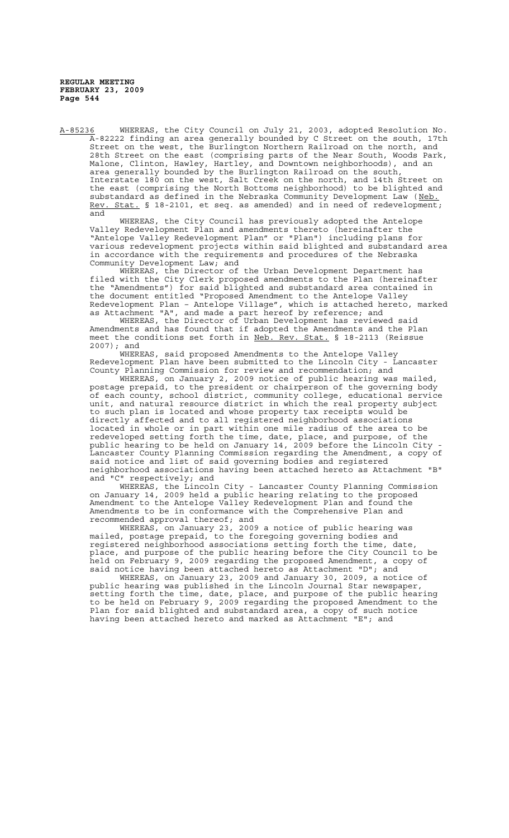A-85236 WHEREAS, the City Council on July 21, 2003, adopted Resolution No. A-82222 finding an area generally bounded by C Street on the south, 17th Street on the west, the Burlington Northern Railroad on the north, and 28th Street on the east (comprising parts of the Near South, Woods Park, Malone, Clinton, Hawley, Hartley, and Downtown neighborhoods), and an area generally bounded by the Burlington Railroad on the south, Interstate 180 on the west, Salt Creek on the north, and 14th Street on the east (comprising the North Bottoms neighborhood) to be blighted and substandard as defined in the Nebraska Community Development Law (Neb. Rev. Stat. § 18-2101, et seq. as amended) and in need of redevelopment; and

WHEREAS, the City Council has previously adopted the Antelope Valley Redevelopment Plan and amendments thereto (hereinafter the "Antelope Valley Redevelopment Plan" or "Plan") including plans for various redevelopment projects within said blighted and substandard area in accordance with the requirements and procedures of the Nebraska Community Development Law; and

WHEREAS, the Director of the Urban Development Department has filed with the City Clerk proposed amendments to the Plan (hereinafter the "Amendments") for said blighted and substandard area contained in the document entitled "Proposed Amendment to the Antelope Valley Redevelopment Plan – Antelope Village", which is attached hereto, marked as Attachment "A", and made a part hereof by reference; and

WHEREAS, the Director of Urban Development has reviewed said Amendments and has found that if adopted the Amendments and the Plan meet the conditions set forth in Neb. Rev. Stat. § 18-2113 (Reissue 2007); and<br>WHEREAS,

said proposed Amendments to the Antelope Valley Redevelopment Plan have been submitted to the Lincoln City - Lancaster

County Planning Commission for review and recommendation; and<br>WHEREAS, on January 2, 2009 notice of public hearing was on January 2, 2009 notice of public hearing was mailed, postage prepaid, to the president or chairperson of the governing body of each county, school district, community college, educational service unit, and natural resource district in which the real property subject to such plan is located and whose property tax receipts would be directly affected and to all registered neighborhood associations located in whole or in part within one mile radius of the area to be redeveloped setting forth the time, date, place, and purpose, of the public hearing to be held on January 14, 2009 before the Lincoln City - Lancaster County Planning Commission regarding the Amendment, a copy of said notice and list of said governing bodies and registered neighborhood associations having been attached hereto as Attachment "B"<br>and "C" respectively; and and "C" respectively; and

WHEREAS, the Lincoln City - Lancaster County Planning Commission on January 14, 2009 held a public hearing relating to the proposed Amendment to the Antelope Valley Redevelopment Plan and found the Amendments to be in conformance with the Comprehensive Plan and recommended approval thereof; and

WHEREAS, on January 23, 2009 a notice of public hearing was mailed, postage prepaid, to the foregoing governing bodies and registered neighborhood associations setting forth the time, date, place, and purpose of the public hearing before the City Council to be held on February 9, 2009 regarding the proposed Amendment, a copy of said notice having been attached hereto as Attachment "D"; and

WHEREAS, on January 23, 2009 and January 30, 2009, a notice of public hearing was published in the Lincoln Journal Star newspaper, setting forth the time, date, place, and purpose of the public hearing to be held on February 9, 2009 regarding the proposed Amendment to the Plan for said blighted and substandard area, a copy of such notice having been attached hereto and marked as Attachment "E"; and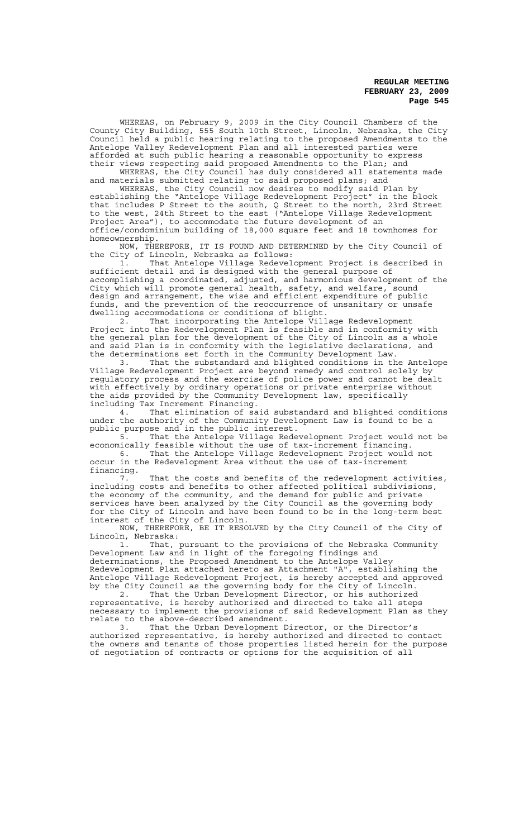WHEREAS, on February 9, 2009 in the City Council Chambers of the County City Building, 555 South 10th Street, Lincoln, Nebraska, the City Council held a public hearing relating to the proposed Amendments to the Antelope Valley Redevelopment Plan and all interested parties were afforded at such public hearing a reasonable opportunity to express their views respecting said proposed Amendments to the Plan; and

WHEREAS, the City Council has duly considered all statements made and materials submitted relating to said proposed plans; and

WHEREAS, the City Council now desires to modify said Plan by establishing the "Antelope Village Redevelopment Project" in the block that includes P Street to the south, Q Street to the north, 23rd Street to the west, 24th Street to the east ("Antelope Village Redevelopment Project Area"), to accommodate the future development of an office/condominium building of 18,000 square feet and 18 townhomes for homeownership.

NOW, THEREFORE, IT IS FOUND AND DETERMINED by the City Council of the City of Lincoln, Nebraska as follows:

1. That Antelope Village Redevelopment Project is described in sufficient detail and is designed with the general purpose of accomplishing a coordinated, adjusted, and harmonious development of the City which will promote general health, safety, and welfare, sound design and arrangement, the wise and efficient expenditure of public funds, and the prevention of the reoccurrence of unsanitary or unsafe dwelling accommodations or conditions of blight.

2. That incorporating the Antelope Village Redevelopment Project into the Redevelopment Plan is feasible and in conformity with the general plan for the development of the City of Lincoln as a whole and said Plan is in conformity with the legislative declarations, and the determinations set forth in the Community Development Law.

3. That the substandard and blighted conditions in the Antelope Village Redevelopment Project are beyond remedy and control solely by regulatory process and the exercise of police power and cannot be dealt with effectively by ordinary operations or private enterprise without the aids provided by the Community Development law, specifically including Tax Increment Financing.

4. That elimination of said substandard and blighted conditions under the authority of the Community Development Law is found to be a public purpose and in the public interest.

5. That the Antelope Village Redevelopment Project would not be economically feasible without the use of tax-increment financing. 6. That the Antelope Village Redevelopment Project would not

occur in the Redevelopment Area without the use of tax-increment financing.

That the costs and benefits of the redevelopment activities, including costs and benefits to other affected political subdivisions, the economy of the community, and the demand for public and private services have been analyzed by the City Council as the governing body for the City of Lincoln and have been found to be in the long-term best interest of the City of Lincoln.

NOW, THEREFORE, BE IT RESOLVED by the City Council of the City of Lincoln, Nebraska:

1. That, pursuant to the provisions of the Nebraska Community Development Law and in light of the foregoing findings and determinations, the Proposed Amendment to the Antelope Valley Redevelopment Plan attached hereto as Attachment "A", establishing the Antelope Village Redevelopment Project, is hereby accepted and approved by the City Council as the governing body for the City of Lincoln.

2. That the Urban Development Director, or his authorized representative, is hereby authorized and directed to take all steps necessary to implement the provisions of said Redevelopment Plan as they relate to the above-described amendment.

3. That the Urban Development Director, or the Director's authorized representative, is hereby authorized and directed to contact the owners and tenants of those properties listed herein for the purpose of negotiation of contracts or options for the acquisition of all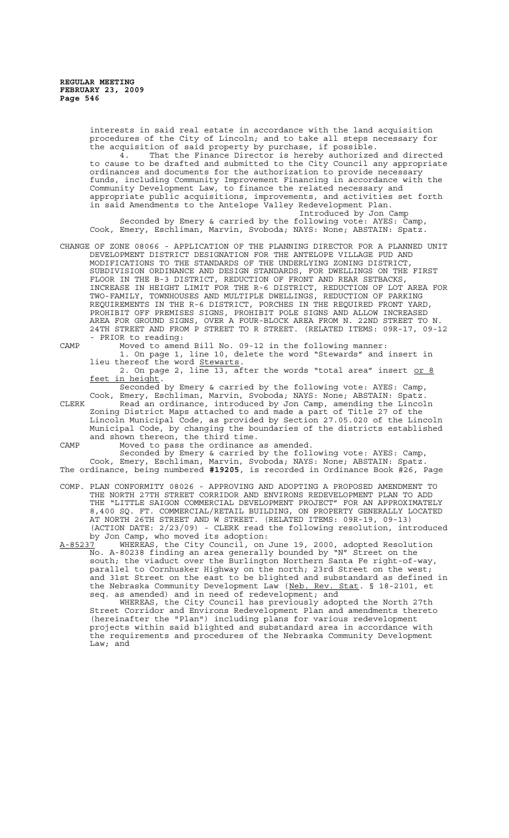interests in said real estate in accordance with the land acquisition procedures of the City of Lincoln; and to take all steps necessary for the acquisition of said property by purchase, if possible. That the Finance Director is hereby authorized and directed to cause to be drafted and submitted to the City Council any appropriate ordinances and documents for the authorization to provide necessary funds, including Community Improvement Financing in accordance with the Community Development Law, to finance the related necessary and appropriate public acquisitions, improvements, and activities set forth in said Amendments to the Antelope Valley Redevelopment Plan. Introduced by Jon Camp Seconded by Emery & carried by the following vote: AYES: Camp, Cook, Emery, Eschliman, Marvin, Svoboda; NAYS: None; ABSTAIN: Spatz. CHANGE OF ZONE 08066 - APPLICATION OF THE PLANNING DIRECTOR FOR A PLANNED UNIT DEVELOPMENT DISTRICT DESIGNATION FOR THE ANTELOPE VILLAGE PUD AND MODIFICATIONS TO THE STANDARDS OF THE UNDERLYING ZONING DISTRICT, SUBDIVISION ORDINANCE AND DESIGN STANDARDS, FOR DWELLINGS ON THE FIRST FLOOR IN THE B-3 DISTRICT, REDUCTION OF FRONT AND REAR SETBACKS, INCREASE IN HEIGHT LIMIT FOR THE R-6 DISTRICT, REDUCTION OF LOT AREA FOR TWO-FAMILY, TOWNHOUSES AND MULTIPLE DWELLINGS, REDUCTION OF PARKING REQUIREMENTS IN THE R-6 DISTRICT, PORCHES IN THE REQUIRED FRONT YARD, PROHIBIT OFF PREMISES SIGNS, PROHIBIT POLE SIGNS AND ALLOW INCREASED AREA FOR GROUND SIGNS, OVER A FOUR-BLOCK AREA FROM N. 22ND STREET TO N. 24TH STREET AND FROM P STREET TO R STREET. (RELATED ITEMS: 09R-17, 09-12 PRIOR to reading: CAMP Moved to amend Bill No. 09-12 in the following manner: 1. On page 1, line 10, delete the word "Stewards" and insert in lieu thereof the word Stewarts. the word **Stewarts** 2. On page 2, line 13, after the words "total area" insert or 8 feet in height. Seconded by Emery & carried by the following vote: AYES: Camp, Cook, Emery, Eschliman, Marvin, Svoboda; NAYS: None; ABSTAIN: Spatz. CLERK Read an ordinance, introduced by Jon Camp, amending the Lincoln Zoning District Maps attached to and made a part of Title 27 of the Lincoln Municipal Code, as provided by Section 27.05.020 of the Lincoln Municipal Code, by changing the boundaries of the districts established and shown thereon, the third time. CAMP Moved to pass the ordinance as amended. Seconded by Emery & carried by the following vote: AYES: Camp, Cook, Emery, Eschliman, Marvin, Svoboda; NAYS: None; ABSTAIN: Spatz. The ordinance, being numbered **#19205**, is recorded in Ordinance Book #26, Page COMP. PLAN CONFORMITY 08026 - APPROVING AND ADOPTING A PROPOSED AMENDMENT TO THE NORTH 27TH STREET CORRIDOR AND ENVIRONS REDEVELOPMENT PLAN TO ADD<br>THE "LITTLE SAIGON COMMERCIAL DEVELOPMENT PROJECT" FOR AN APPROXIMATE "LITTLE SAIGON COMMERCIAL DEVELOPMENT PROJECT" FOR AN APPROXIMATELY 8,400 SQ. FT. COMMERCIAL/RETAIL BUILDING, ON PROPERTY GENERALLY LOCATED NORTH 26TH STREET AND W STREET. (RELATED ITEMS: 09R-19, 09-13) (ACTION DATE: 2/23/09) - CLERK read the following resolution, introduced by Jon Camp, who moved its adoption:<br>A-85237 WHEREAS, the City Council, on A-85237 WHEREAS, the City Council, on June 19, 2000, adopted Resolution No. A-80238 finding an area generally bounded by "N" Street on the south; the viaduct over the Burlington Northern Santa Fe right-of-way, parallel to Cornhusker Highway on the north; 23rd Street on the west;

and 31st Street on the east to be blighted and substandard as defined in the Nebraska Community Development Law (Neb. Rev. Stat. § 18-2101, et seq. as amended) and in need of redevelopment; and WHEREAS, the City Council has previously adopted the North 27th

Street Corridor and Environs Redevelopment Plan and amendments thereto (hereinafter the "Plan") including plans for various redevelopment projects within said blighted and substandard area in accordance with the requirements and procedures of the Nebraska Community Development Law; and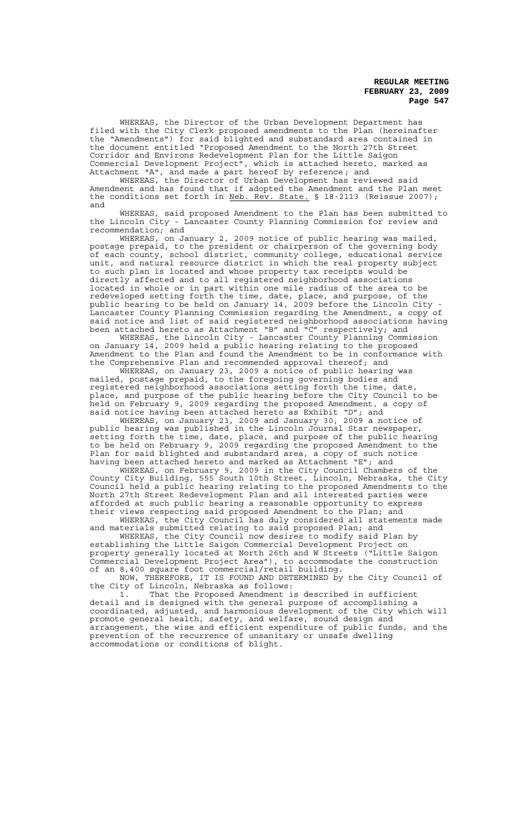WHEREAS, the Director of the Urban Development Department has filed with the City Clerk proposed amendments to the Plan (hereinafter the "Amendments") for said blighted and substandard area contained in the document entitled "Proposed Amendment to the North 27th Street Corridor and Environs Redevelopment Plan for the Little Saigon Commercial Development Project", which is attached hereto, marked as Attachment "A", and made a part hereof by reference ; and

WHEREAS, the Director of Urban Development has reviewed said Amendment and has found that if adopted the Amendment and the Plan meet the conditions set forth in Neb. Rev. State. § 18-2113 (Reissue 2007); and

WHEREAS, said proposed Amendment to the Plan has been submitted to the Lincoln City - Lancaster County Planning Commission for review and recommendation; and

WHEREAS, on January 2, 2009 notice of public hearing was mailed, postage prepaid, to the president or chairperson of the governing body of each county, school district, community college, educational service unit, and natural resource district in which the real property subject to such plan is located and whose property tax receipts would be directly affected and to all registered neighborhood associations located in whole or in part within one mile radius of the area to be redeveloped setting forth the time, date, place, and purpose, of the public hearing to be held on January 14, 2009 before the Lincoln City - Lancaster County Planning Commission regarding the Amendment, a copy of said notice and list of said registered neighborhood associations having been attached hereto as Attachment "B" and "C" respectively; and

WHEREAS, the Lincoln City - Lancaster County Planning Commission on January 14, 2009 held a public hearing relating to the proposed on January 14, 2009 held a public hearing relating to the proposed<br>Amendment to the Plan and found the Amendment to be in conformance with the Comprehensive Plan and recommended approval thereof; and

WHEREAS, on January 23, 2009 a notice of public hearing was mailed, postage prepaid, to the foregoing governing bodies and registered neighborhood associations setting forth the time, date, place, and purpose of the public hearing before the City Council to be held on February 9, 2009 regarding the proposed Amendment, a copy of said notice having been attached hereto as Exhibit "D"; and

WHEREAS, on January 23, 2009 and January 30, 2009 a notice of public hearing was published in the Lincoln Journal Star newspaper, setting forth the time, date, place, and purpose of the public hearing to be held on February 9, 2009 regarding the proposed Amendment to the Plan for said blighted and substandard area, a copy of such notice having been attached hereto and marked as Attachment "E"; and

WHEREAS, on February 9, 2009 in the City Council Chambers of the County City Building, 555 South 10th Street, Lincoln, Nebraska, the City Council held a public hearing relating to the proposed Amendments to the North 27th Street Redevelopment Plan and all interested parties were afforded at such public hearing a reasonable opportunity to express their views respecting said proposed Amendment to the Plan; and

WHEREAS, the City Council has duly considered all statements made and materials submitted relating to said proposed Plan; and

WHEREAS, the City Council now desires to modify said Plan by establishing the Little Saigon Commercial Development Project on property generally located at North 26th and W Streets ("Little Saigon Commercial Development Project Area"), to accommodate the construction of an 8,400 square foot commercial/retail building.

NOW, THEREFORE, IT IS FOUND AND DETERMINED by the City Council of the City of Lincoln, Nebraska as follows:

1. That the Proposed Amendment is described in sufficient detail and is designed with the general purpose of accomplishing a coordinated, adjusted, and harmonious development of the City which will promote general health, safety, and welfare, sound design and arrangement, the wise and efficient expenditure of public funds, and the prevention of the recurrence of unsanitary or unsafe dwelling accommodations or conditions of blight.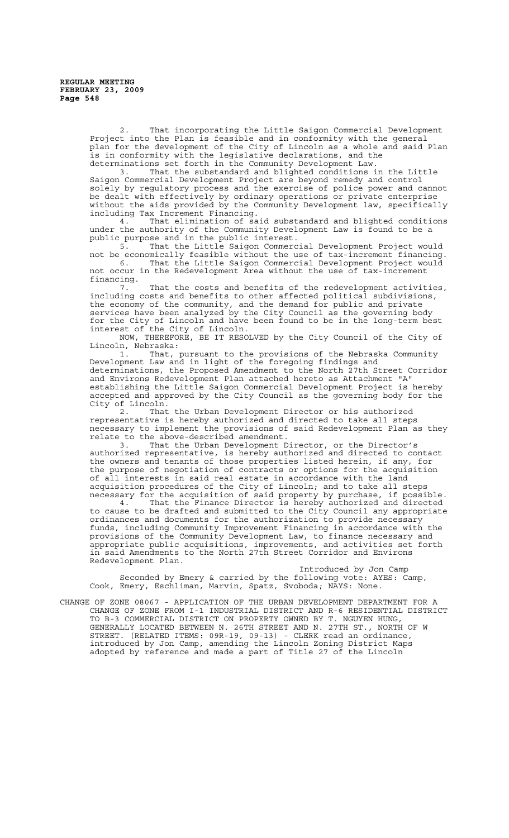2. That incorporating the Little Saigon Commercial Development Project into the Plan is feasible and in conformity with the general plan for the development of the City of Lincoln as a whole and said Plan is in conformity with the legislative declarations, and the determinations set forth in the Community Development Law.

3. That the substandard and blighted conditions in the Little Saigon Commercial Development Project are beyond remedy and control solely by regulatory process and the exercise of police power and cannot be dealt with effectively by ordinary operations or private enterprise without the aids provided by the Community Development law, specifically including Tax Increment Financing.

4. That elimination of said substandard and blighted conditions under the authority of the Community Development Law is found to be a public purpose and in the public interest.

5. That the Little Saigon Commercial Development Project would not be economically feasible without the use of tax-increment financing. That the Little Saigon Commercial Development Project would not occur in the Redevelopment Area without the use of tax-increment financing.<br>7.

That the costs and benefits of the redevelopment activities, including costs and benefits to other affected political subdivisions, the economy of the community, and the demand for public and private services have been analyzed by the City Council as the governing body for the City of Lincoln and have been found to be in the long-term best interest of the City of Lincoln.

NOW, THEREFORE, BE IT RESOLVED by the City Council of the City of Lincoln, Nebraska:

1. That, pursuant to the provisions of the Nebraska Community Development Law and in light of the foregoing findings and determinations, the Proposed Amendment to the North 27th Street Corridor and Environs Redevelopment Plan attached hereto as Attachment "A" establishing the Little Saigon Commercial Development Project is hereby accepted and approved by the City Council as the governing body for the City of Lincoln.<br>2. That

That the Urban Development Director or his authorized representative is hereby authorized and directed to take all steps necessary to implement the provisions of said Redevelopment Plan as they relate to the above-described amendment.

3. That the Urban Development Director, or the Director's authorized representative, is hereby authorized and directed to contact the owners and tenants of those properties listed herein, if any, for the purpose of negotiation of contracts or options for the acquisition of all interests in said real estate in accordance with the land acquisition procedures of the City of Lincoln; and to take all steps necessary for the acquisition of said property by purchase, if possible.

4. That the Finance Director is hereby authorized and directed to cause to be drafted and submitted to the City Council any appropriate ordinances and documents for the authorization to provide necessary funds, including Community Improvement Financing in accordance with the provisions of the Community Development Law, to finance necessary and appropriate public acquisitions, improvements, and activities set forth in said Amendments to the North 27th Street Corridor and Environs Redevelopment Plan.

Introduced by Jon Camp Seconded by Emery & carried by the following vote: AYES: Camp, Cook, Emery, Eschliman, Marvin, Spatz, Svoboda; NAYS: None.

CHANGE OF ZONE 08067 - APPLICATION OF THE URBAN DEVELOPMENT DEPARTMENT FOR A CHANGE OF ZONE FROM I-1 INDUSTRIAL DISTRICT AND R-6 RESIDENTIAL DISTRICT TO B-3 COMMERCIAL DISTRICT ON PROPERTY OWNED BY T. NGUYEN HUNG, GENERALLY LOCATED BETWEEN N. 26TH STREET AND N. 27TH ST., NORTH OF W STREET. (RELATED ITEMS: 09R-19, 09-13) - CLERK read an ordinance, introduced by Jon Camp, amending the Lincoln Zoning District Maps adopted by reference and made a part of Title 27 of the Lincoln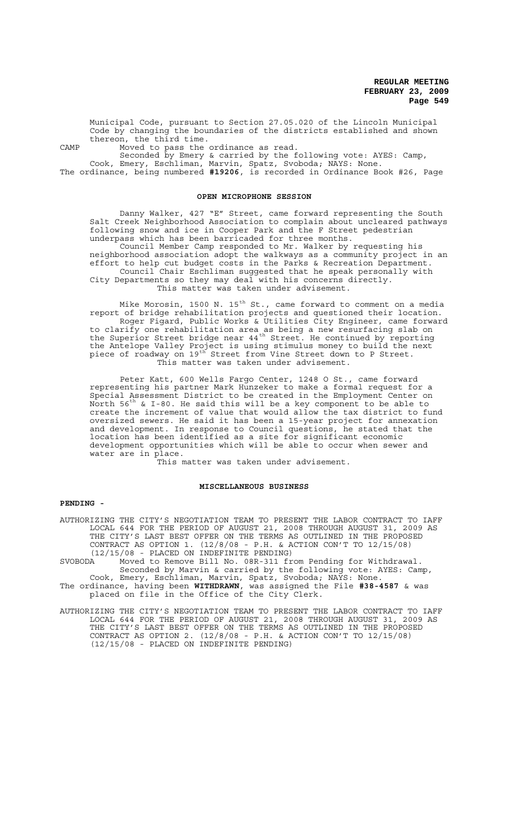Municipal Code, pursuant to Section 27.05.020 of the Lincoln Municipal Code by changing the boundaries of the districts established and shown thereon, the third time.

CAMP Moved to pass the ordinance as read.

Seconded by Emery & carried by the following vote: AYES: Camp, Cook, Emery, Eschliman, Marvin, Spatz, Svoboda; NAYS: None. The ordinance, being numbered **#19206**, is recorded in Ordinance Book #26, Page

#### **OPEN MICROPHONE SESSION**

Danny Walker, 427 "E" Street, came forward representing the South Salt Creek Neighborhood Association to complain about uncleared pathways following snow and ice in Cooper Park and the F Street pedestrian underpass which has been barricaded for three months. Council Member Camp responded to Mr. Walker by requesting his neighborhood association adopt the walkways as a community project in an effort to help cut budget costs in the Parks & Recreation Department. Council Chair Eschliman suggested that he speak personally with City Departments so they may deal with his concerns directly. This matter was taken under advisement.

Mike Morosin, 1500 N. 15<sup>th</sup> St., came forward to comment on a media report of bridge rehabilitation projects and questioned their location. Roger Figard, Public Works & Utilities City Engineer, came forward to clarify one rehabilitation area as being a new resurfacing slab on the Superior Street bridge near  $44^{\text{th}}$  Street. He continued by reporting the Antelope Valley Project is using stimulus money to build the next piece of roadway on 19th Street from Vine Street down to P Street. This matter was taken under advisement.

Peter Katt, 600 Wells Fargo Center, 1248 O St., came forward representing his partner Mark Hunzeker to make a formal request for a Special Assessment District to be created in the Employment Center on North 56th & I-80. He said this will be a key component to be able to North  $56^{th}$  & I-80. He said this will be a key component to be able to create the increment of value that would allow the tax district to fund oversized sewers. He said it has been a 15-year project for annexation and development. In response to Council questions, he stated that the location has been identified as a site for significant economic development opportunities which will be able to occur when sewer and water are in place.

This matter was taken under advisement.

## **MISCELLANEOUS BUSINESS**

## **PENDING -**

AUTHORIZING THE CITY'S NEGOTIATION TEAM TO PRESENT THE LABOR CONTRACT TO IAFF LOCAL 644 FOR THE PERIOD OF AUGUST 21, 2008 THROUGH AUGUST 31, 2009 AS THE CITY'S LAST BEST OFFER ON THE TERMS AS OUTLINED IN THE PROPOSED CONTRACT AS OPTION 1. (12/8/08 - P.H. & ACTION CON'T TO 12/15/08) (12/15/08 - PLACED ON INDEFINITE PENDING)<br>SVOBODA Moved to Remove Bill No. 08R-311 fr Moved to Remove Bill No. 08R-311 from Pending for Withdrawal.

Seconded by Marvin & carried by the following vote: AYES: Camp, Cook, Emery, Eschliman, Marvin, Spatz, Svoboda; NAYS: None.

The ordinance, having been **WITHDRAWN**, was assigned the File **#38-4587** & was placed on file in the Office of the City Clerk.

AUTHORIZING THE CITY'S NEGOTIATION TEAM TO PRESENT THE LABOR CONTRACT TO IAFF LOCAL 644 FOR THE PERIOD OF AUGUST 21, 2008 THROUGH AUGUST 31, 2009 AS THE CITY'S LAST BEST OFFER ON THE TERMS AS OUTLINED IN THE PROPOSED CONTRACT AS OPTION 2. (12/8/08 - P.H. & ACTION CON'T TO 12/15/08) (12/15/08 - PLACED ON INDEFINITE PENDING)